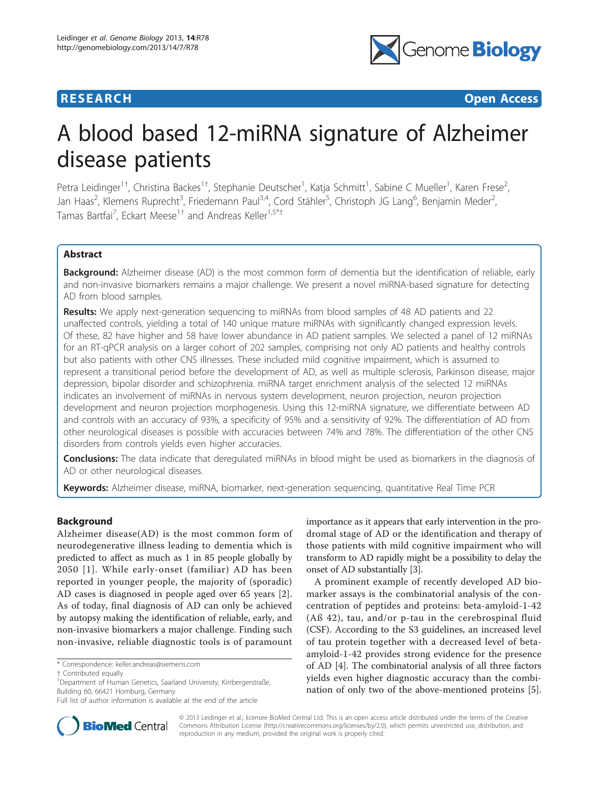

**RESEARCH CONTROL** CONTROL CONTROL CONTROL CONTROL CONTROL CONTROL CONTROL CONTROL CONTROL CONTROL CONTROL CONTROL CONTROL CONTROL CONTROL CONTROL CONTROL CONTROL CONTROL CONTROL CONTROL CONTROL CONTROL CONTROL CONTROL CON

# A blood based 12-miRNA signature of Alzheimer disease patients

Petra Leidinger<sup>1†</sup>, Christina Backes<sup>1†</sup>, Stephanie Deutscher<sup>1</sup>, Katja Schmitt<sup>1</sup>, Sabine C Mueller<sup>1</sup>, Karen Frese<sup>2</sup> .<br>, Jan Haas<sup>2</sup>, Klemens Ruprecht<sup>3</sup>, Friedemann Paul<sup>3,4</sup>, Cord Stähler<sup>5</sup>, Christoph JG Lang<sup>6</sup>, Benjamin Meder<sup>2</sup> , Tamas Bartfai<sup>7</sup>, Eckart Meese<sup>1†</sup> and Andreas Keller<sup>1,5\*†</sup>

# Abstract

Background: Alzheimer disease (AD) is the most common form of dementia but the identification of reliable, early and non-invasive biomarkers remains a major challenge. We present a novel miRNA-based signature for detecting AD from blood samples.

Results: We apply next-generation sequencing to miRNAs from blood samples of 48 AD patients and 22 unaffected controls, yielding a total of 140 unique mature miRNAs with significantly changed expression levels. Of these, 82 have higher and 58 have lower abundance in AD patient samples. We selected a panel of 12 miRNAs for an RT-qPCR analysis on a larger cohort of 202 samples, comprising not only AD patients and healthy controls but also patients with other CNS illnesses. These included mild cognitive impairment, which is assumed to represent a transitional period before the development of AD, as well as multiple sclerosis, Parkinson disease, major depression, bipolar disorder and schizophrenia. miRNA target enrichment analysis of the selected 12 miRNAs indicates an involvement of miRNAs in nervous system development, neuron projection, neuron projection development and neuron projection morphogenesis. Using this 12-miRNA signature, we differentiate between AD and controls with an accuracy of 93%, a specificity of 95% and a sensitivity of 92%. The differentiation of AD from other neurological diseases is possible with accuracies between 74% and 78%. The differentiation of the other CNS disorders from controls yields even higher accuracies.

Conclusions: The data indicate that deregulated miRNAs in blood might be used as biomarkers in the diagnosis of AD or other neurological diseases.

Keywords: Alzheimer disease, miRNA, biomarker, next-generation sequencing, quantitative Real Time PCR

# Background

Alzheimer disease(AD) is the most common form of neurodegenerative illness leading to dementia which is predicted to affect as much as 1 in 85 people globally by 2050 [[1](#page-14-0)]. While early-onset (familiar) AD has been reported in younger people, the majority of (sporadic) AD cases is diagnosed in people aged over 65 years [\[2](#page-14-0)]. As of today, final diagnosis of AD can only be achieved by autopsy making the identification of reliable, early, and non-invasive biomarkers a major challenge. Finding such non-invasive, reliable diagnostic tools is of paramount

\* Correspondence: [keller.andreas@siemens.com](mailto:keller.andreas@siemens.com)

importance as it appears that early intervention in the prodromal stage of AD or the identification and therapy of those patients with mild cognitive impairment who will transform to AD rapidly might be a possibility to delay the onset of AD substantially [[3](#page-14-0)].

A prominent example of recently developed AD biomarker assays is the combinatorial analysis of the concentration of peptides and proteins: beta-amyloid-1-42 (Aß 42), tau, and/or p-tau in the cerebrospinal fluid (CSF). According to the S3 guidelines, an increased level of tau protein together with a decreased level of betaamyloid-1-42 provides strong evidence for the presence of AD [\[4](#page-14-0)]. The combinatorial analysis of all three factors yields even higher diagnostic accuracy than the combination of only two of the above-mentioned proteins [\[5](#page-14-0)].



© 2013 Leidinger et al.; licensee BioMed Central Ltd. This is an open access article distributed under the terms of the Creative Commons Attribution License [\(http://creativecommons.org/licenses/by/2.0](http://creativecommons.org/licenses/by/2.0)), which permits unrestricted use, distribution, and reproduction in any medium, provided the original work is properly cited.

<sup>†</sup> Contributed equally <sup>1</sup>

<sup>&</sup>lt;sup>1</sup>Department of Human Genetics, Saarland University, Kirrbergerstraße, Building 60, 66421 Homburg, Germany

Full list of author information is available at the end of the article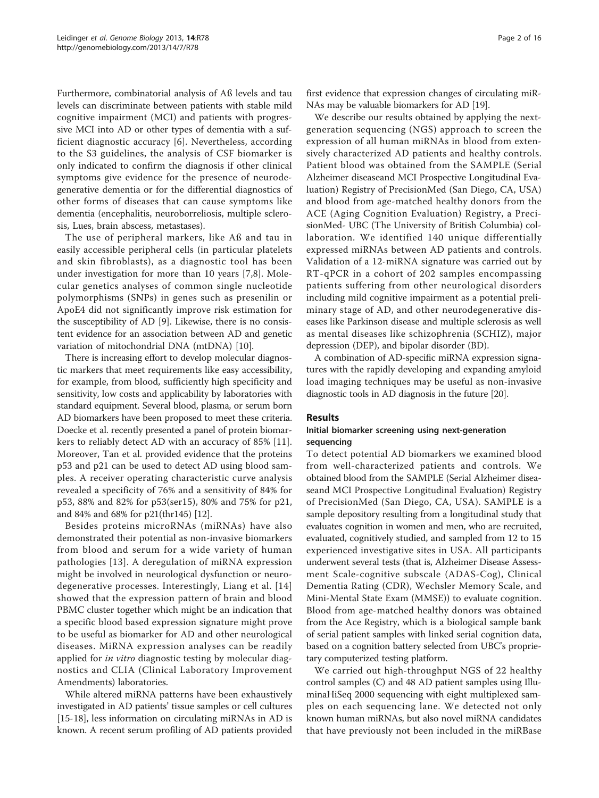Furthermore, combinatorial analysis of Aß levels and tau levels can discriminate between patients with stable mild cognitive impairment (MCI) and patients with progressive MCI into AD or other types of dementia with a sufficient diagnostic accuracy [[6](#page-14-0)]. Nevertheless, according to the S3 guidelines, the analysis of CSF biomarker is only indicated to confirm the diagnosis if other clinical symptoms give evidence for the presence of neurodegenerative dementia or for the differential diagnostics of other forms of diseases that can cause symptoms like dementia (encephalitis, neuroborreliosis, multiple sclerosis, Lues, brain abscess, metastases).

The use of peripheral markers, like Aß and tau in easily accessible peripheral cells (in particular platelets and skin fibroblasts), as a diagnostic tool has been under investigation for more than 10 years [\[7](#page-14-0),[8\]](#page-14-0). Molecular genetics analyses of common single nucleotide polymorphisms (SNPs) in genes such as presenilin or ApoE4 did not significantly improve risk estimation for the susceptibility of AD [[9\]](#page-14-0). Likewise, there is no consistent evidence for an association between AD and genetic variation of mitochondrial DNA (mtDNA) [\[10](#page-14-0)].

There is increasing effort to develop molecular diagnostic markers that meet requirements like easy accessibility, for example, from blood, sufficiently high specificity and sensitivity, low costs and applicability by laboratories with standard equipment. Several blood, plasma, or serum born AD biomarkers have been proposed to meet these criteria. Doecke et al. recently presented a panel of protein biomarkers to reliably detect AD with an accuracy of 85% [[11](#page-14-0)]. Moreover, Tan et al. provided evidence that the proteins p53 and p21 can be used to detect AD using blood samples. A receiver operating characteristic curve analysis revealed a specificity of 76% and a sensitivity of 84% for p53, 88% and 82% for p53(ser15), 80% and 75% for p21, and 84% and 68% for p21(thr145) [\[12\]](#page-14-0).

Besides proteins microRNAs (miRNAs) have also demonstrated their potential as non-invasive biomarkers from blood and serum for a wide variety of human pathologies [[13](#page-14-0)]. A deregulation of miRNA expression might be involved in neurological dysfunction or neurodegenerative processes. Interestingly, Liang et al. [[14](#page-14-0)] showed that the expression pattern of brain and blood PBMC cluster together which might be an indication that a specific blood based expression signature might prove to be useful as biomarker for AD and other neurological diseases. MiRNA expression analyses can be readily applied for *in vitro* diagnostic testing by molecular diagnostics and CLIA (Clinical Laboratory Improvement Amendments) laboratories.

While altered miRNA patterns have been exhaustively investigated in AD patients' tissue samples or cell cultures [[15-18\]](#page-14-0), less information on circulating miRNAs in AD is known. A recent serum profiling of AD patients provided first evidence that expression changes of circulating miR-NAs may be valuable biomarkers for AD [[19](#page-14-0)].

We describe our results obtained by applying the nextgeneration sequencing (NGS) approach to screen the expression of all human miRNAs in blood from extensively characterized AD patients and healthy controls. Patient blood was obtained from the SAMPLE (Serial Alzheimer diseaseand MCI Prospective Longitudinal Evaluation) Registry of PrecisionMed (San Diego, CA, USA) and blood from age-matched healthy donors from the ACE (Aging Cognition Evaluation) Registry, a PrecisionMed- UBC (The University of British Columbia) collaboration. We identified 140 unique differentially expressed miRNAs between AD patients and controls. Validation of a 12-miRNA signature was carried out by RT-qPCR in a cohort of 202 samples encompassing patients suffering from other neurological disorders including mild cognitive impairment as a potential preliminary stage of AD, and other neurodegenerative diseases like Parkinson disease and multiple sclerosis as well as mental diseases like schizophrenia (SCHIZ), major depression (DEP), and bipolar disorder (BD).

A combination of AD-specific miRNA expression signatures with the rapidly developing and expanding amyloid load imaging techniques may be useful as non-invasive diagnostic tools in AD diagnosis in the future [\[20\]](#page-14-0).

## Results

#### Initial biomarker screening using next-generation sequencing

To detect potential AD biomarkers we examined blood from well-characterized patients and controls. We obtained blood from the SAMPLE (Serial Alzheimer diseaseand MCI Prospective Longitudinal Evaluation) Registry of PrecisionMed (San Diego, CA, USA). SAMPLE is a sample depository resulting from a longitudinal study that evaluates cognition in women and men, who are recruited, evaluated, cognitively studied, and sampled from 12 to 15 experienced investigative sites in USA. All participants underwent several tests (that is, Alzheimer Disease Assessment Scale-cognitive subscale (ADAS-Cog), Clinical Dementia Rating (CDR), Wechsler Memory Scale, and Mini-Mental State Exam (MMSE)) to evaluate cognition. Blood from age-matched healthy donors was obtained from the Ace Registry, which is a biological sample bank of serial patient samples with linked serial cognition data, based on a cognition battery selected from UBC's proprietary computerized testing platform.

We carried out high-throughput NGS of 22 healthy control samples (C) and 48 AD patient samples using IlluminaHiSeq 2000 sequencing with eight multiplexed samples on each sequencing lane. We detected not only known human miRNAs, but also novel miRNA candidates that have previously not been included in the miRBase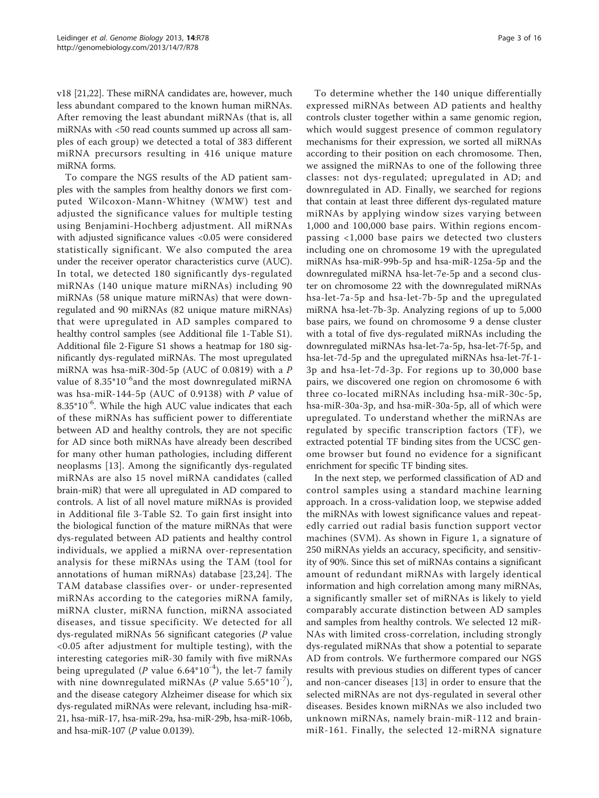v18 [[21,22](#page-14-0)]. These miRNA candidates are, however, much less abundant compared to the known human miRNAs. After removing the least abundant miRNAs (that is, all miRNAs with <50 read counts summed up across all samples of each group) we detected a total of 383 different miRNA precursors resulting in 416 unique mature miRNA forms.

To compare the NGS results of the AD patient samples with the samples from healthy donors we first computed Wilcoxon-Mann-Whitney (WMW) test and adjusted the significance values for multiple testing using Benjamini-Hochberg adjustment. All miRNAs with adjusted significance values <0.05 were considered statistically significant. We also computed the area under the receiver operator characteristics curve (AUC). In total, we detected 180 significantly dys-regulated miRNAs (140 unique mature miRNAs) including 90 miRNAs (58 unique mature miRNAs) that were downregulated and 90 miRNAs (82 unique mature miRNAs) that were upregulated in AD samples compared to healthy control samples (see Additional file [1](#page-13-0)-Table S1). Additional file [2](#page-13-0)-Figure S1 shows a heatmap for 180 significantly dys-regulated miRNAs. The most upregulated miRNA was hsa-miR-30d-5p (AUC of 0.0819) with a P value of  $8.35*10^{-6}$  and the most downregulated miRNA was hsa-miR-144-5p (AUC of 0.9138) with P value of  $8.35*10<sup>-6</sup>$ . While the high AUC value indicates that each of these miRNAs has sufficient power to differentiate between AD and healthy controls, they are not specific for AD since both miRNAs have already been described for many other human pathologies, including different neoplasms [[13](#page-14-0)]. Among the significantly dys-regulated miRNAs are also 15 novel miRNA candidates (called brain-miR) that were all upregulated in AD compared to controls. A list of all novel mature miRNAs is provided in Additional file [3](#page-13-0)-Table S2. To gain first insight into the biological function of the mature miRNAs that were dys-regulated between AD patients and healthy control individuals, we applied a miRNA over-representation analysis for these miRNAs using the TAM (tool for annotations of human miRNAs) database [[23,24\]](#page-14-0). The TAM database classifies over- or under-represented miRNAs according to the categories miRNA family, miRNA cluster, miRNA function, miRNA associated diseases, and tissue specificity. We detected for all dys-regulated miRNAs 56 significant categories (P value <0.05 after adjustment for multiple testing), with the interesting categories miR-30 family with five miRNAs being upregulated (*P* value 6.64 $*10^{-4}$ ), the let-7 family with nine downregulated miRNAs (*P* value  $5.65*10^{-7}$ ), and the disease category Alzheimer disease for which six dys-regulated miRNAs were relevant, including hsa-miR-21, hsa-miR-17, hsa-miR-29a, hsa-miR-29b, hsa-miR-106b, and hsa-miR-107 (P value 0.0139).

To determine whether the 140 unique differentially expressed miRNAs between AD patients and healthy controls cluster together within a same genomic region, which would suggest presence of common regulatory mechanisms for their expression, we sorted all miRNAs according to their position on each chromosome. Then, we assigned the miRNAs to one of the following three classes: not dys-regulated; upregulated in AD; and downregulated in AD. Finally, we searched for regions that contain at least three different dys-regulated mature miRNAs by applying window sizes varying between 1,000 and 100,000 base pairs. Within regions encompassing <1,000 base pairs we detected two clusters including one on chromosome 19 with the upregulated miRNAs hsa-miR-99b-5p and hsa-miR-125a-5p and the downregulated miRNA hsa-let-7e-5p and a second cluster on chromosome 22 with the downregulated miRNAs hsa-let-7a-5p and hsa-let-7b-5p and the upregulated miRNA hsa-let-7b-3p. Analyzing regions of up to 5,000 base pairs, we found on chromosome 9 a dense cluster with a total of five dys-regulated miRNAs including the downregulated miRNAs hsa-let-7a-5p, hsa-let-7f-5p, and hsa-let-7d-5p and the upregulated miRNAs hsa-let-7f-1- 3p and hsa-let-7d-3p. For regions up to 30,000 base pairs, we discovered one region on chromosome 6 with three co-located miRNAs including hsa-miR-30c-5p, hsa-miR-30a-3p, and hsa-miR-30a-5p, all of which were upregulated. To understand whether the miRNAs are regulated by specific transcription factors (TF), we extracted potential TF binding sites from the UCSC genome browser but found no evidence for a significant enrichment for specific TF binding sites.

In the next step, we performed classification of AD and control samples using a standard machine learning approach. In a cross-validation loop, we stepwise added the miRNAs with lowest significance values and repeatedly carried out radial basis function support vector machines (SVM). As shown in Figure [1](#page-3-0), a signature of 250 miRNAs yields an accuracy, specificity, and sensitivity of 90%. Since this set of miRNAs contains a significant amount of redundant miRNAs with largely identical information and high correlation among many miRNAs, a significantly smaller set of miRNAs is likely to yield comparably accurate distinction between AD samples and samples from healthy controls. We selected 12 miR-NAs with limited cross-correlation, including strongly dys-regulated miRNAs that show a potential to separate AD from controls. We furthermore compared our NGS results with previous studies on different types of cancer and non-cancer diseases [[13\]](#page-14-0) in order to ensure that the selected miRNAs are not dys-regulated in several other diseases. Besides known miRNAs we also included two unknown miRNAs, namely brain-miR-112 and brainmiR-161. Finally, the selected 12-miRNA signature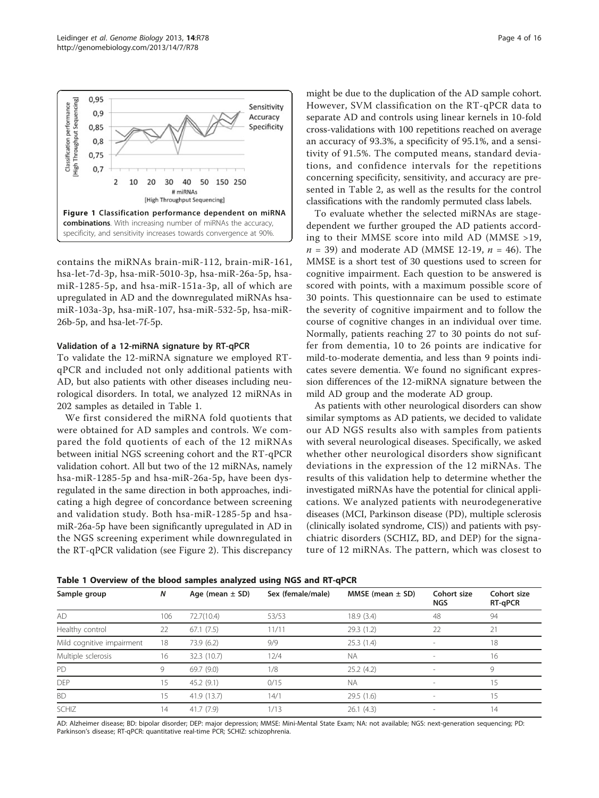contains the miRNAs brain-miR-112, brain-miR-161, hsa-let-7d-3p, hsa-miR-5010-3p, hsa-miR-26a-5p, hsamiR-1285-5p, and hsa-miR-151a-3p, all of which are upregulated in AD and the downregulated miRNAs hsamiR-103a-3p, hsa-miR-107, hsa-miR-532-5p, hsa-miR-26b-5p, and hsa-let-7f-5p.

#### Validation of a 12-miRNA signature by RT-qPCR

To validate the 12-miRNA signature we employed RTqPCR and included not only additional patients with AD, but also patients with other diseases including neurological disorders. In total, we analyzed 12 miRNAs in 202 samples as detailed in Table 1.

We first considered the miRNA fold quotients that were obtained for AD samples and controls. We compared the fold quotients of each of the 12 miRNAs between initial NGS screening cohort and the RT-qPCR validation cohort. All but two of the 12 miRNAs, namely hsa-miR-1285-5p and hsa-miR-26a-5p, have been dysregulated in the same direction in both approaches, indicating a high degree of concordance between screening and validation study. Both hsa-miR-1285-5p and hsamiR-26a-5p have been significantly upregulated in AD in the NGS screening experiment while downregulated in the RT-qPCR validation (see Figure [2](#page-4-0)). This discrepancy might be due to the duplication of the AD sample cohort. However, SVM classification on the RT-qPCR data to separate AD and controls using linear kernels in 10-fold cross-validations with 100 repetitions reached on average an accuracy of 93.3%, a specificity of 95.1%, and a sensitivity of 91.5%. The computed means, standard deviations, and confidence intervals for the repetitions concerning specificity, sensitivity, and accuracy are presented in Table [2](#page-4-0), as well as the results for the control classifications with the randomly permuted class labels.

To evaluate whether the selected miRNAs are stagedependent we further grouped the AD patients according to their MMSE score into mild AD (MMSE >19,  $n = 39$ ) and moderate AD (MMSE 12-19,  $n = 46$ ). The MMSE is a short test of 30 questions used to screen for cognitive impairment. Each question to be answered is scored with points, with a maximum possible score of 30 points. This questionnaire can be used to estimate the severity of cognitive impairment and to follow the course of cognitive changes in an individual over time. Normally, patients reaching 27 to 30 points do not suffer from dementia, 10 to 26 points are indicative for mild-to-moderate dementia, and less than 9 points indicates severe dementia. We found no significant expression differences of the 12-miRNA signature between the mild AD group and the moderate AD group.

As patients with other neurological disorders can show similar symptoms as AD patients, we decided to validate our AD NGS results also with samples from patients with several neurological diseases. Specifically, we asked whether other neurological disorders show significant deviations in the expression of the 12 miRNAs. The results of this validation help to determine whether the investigated miRNAs have the potential for clinical applications. We analyzed patients with neurodegenerative diseases (MCI, Parkinson disease (PD), multiple sclerosis (clinically isolated syndrome, CIS)) and patients with psychiatric disorders (SCHIZ, BD, and DEP) for the signature of 12 miRNAs. The pattern, which was closest to

|  |  |  | Table 1 Overview of the blood samples analyzed using NGS and RT-qPCR |  |  |  |  |  |  |  |  |  |  |  |  |
|--|--|--|----------------------------------------------------------------------|--|--|--|--|--|--|--|--|--|--|--|--|
|--|--|--|----------------------------------------------------------------------|--|--|--|--|--|--|--|--|--|--|--|--|

AD: Alzheimer disease; BD: bipolar disorder; DEP: major depression; MMSE: Mini-Mental State Exam; NA: not available; NGS: next-generation sequencing; PD: Parkinson's disease; RT-qPCR: quantitative real-time PCR; SCHIZ: schizophrenia.

| Sample group              | N   | Age (mean $\pm$ SD) | Sex (female/male) | MMSE (mean $\pm$ SD) | Cohort size<br><b>NGS</b> | Cohort size<br>RT-qPCR |
|---------------------------|-----|---------------------|-------------------|----------------------|---------------------------|------------------------|
| <b>AD</b>                 | 106 | 72.7(10.4)          | 53/53             | 18.9(3.4)            | 48                        | 94                     |
| Healthy control           | 22  | 67.1(7.5)           | 11/11             | 29.3(1.2)            | 22                        | 21                     |
| Mild cognitive impairment | 18  | 73.9 (6.2)          | 9/9               | 25.3(1.4)            |                           | 18                     |
| Multiple sclerosis        | 16  | 32.3 (10.7)         | 12/4              | <b>NA</b>            |                           | 16                     |
| <b>PD</b>                 | 9   | 69.7 (9.0)          | 1/8               | 25.2(4.2)            |                           | 9                      |
| <b>DEP</b>                | 15  | 45.2(9.1)           | 0/15              | <b>NA</b>            |                           | 15                     |
| <b>BD</b>                 | 15  | 41.9 (13.7)         | 14/1              | 29.5(1.6)            | $\sim$                    | 15                     |
| <b>SCHIZ</b>              | 14  | 41.7(7.9)           | 1/13              | 26.1(4.3)            |                           | 14                     |

<span id="page-3-0"></span>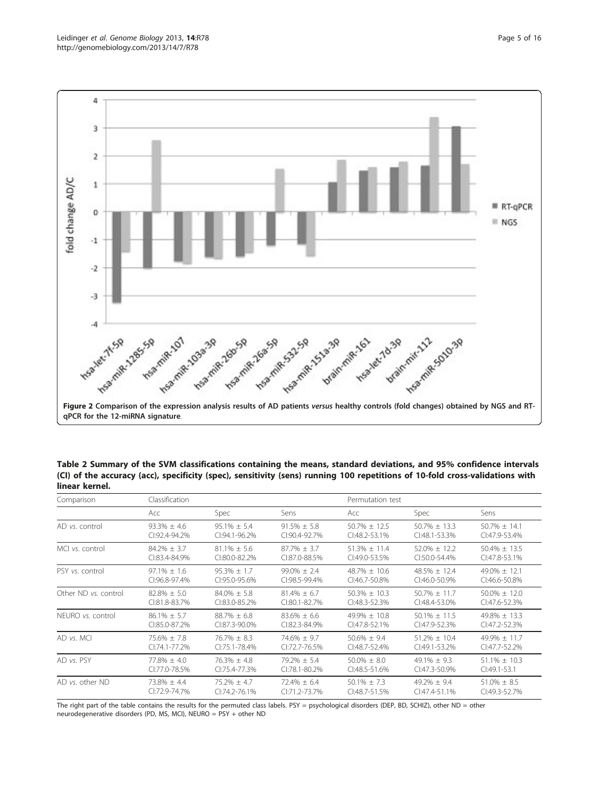<span id="page-4-0"></span>

Table 2 Summary of the SVM classifications containing the means, standard deviations, and 95% confidence intervals (CI) of the accuracy (acc), specificity (spec), sensitivity (sens) running 100 repetitions of 10-fold cross-validations with linear kernel.

| Comparison           | Classification      |                  |                  | Permutation test  |                   |                   |
|----------------------|---------------------|------------------|------------------|-------------------|-------------------|-------------------|
|                      | Acc                 | <b>Spec</b>      | Sens             | Acc               | <b>Spec</b>       | Sens              |
| AD vs. control       | $93.3\% \pm 4.6$    | $95.1\% \pm 5.4$ | $91.5\% \pm 5.8$ | $50.7\% \pm 12.5$ | $50.7\% \pm 13.3$ | $50.7\% \pm 14.1$ |
|                      | $(1.92.4 - 94.2\%)$ | CI:94.1-96.2%    | CI:90.4-92.7%    | CI:48.2-53.1%     | CI:48.1-53.3%     | CI:47.9-53.4%     |
| MCI vs. control      | $84.2\% \pm 3.7$    | $81.1\% \pm 5.6$ | $87.7\% \pm 3.7$ | $51.3\% \pm 11.4$ | $52.0\% \pm 12.2$ | $50.4\% \pm 13.5$ |
|                      | $C1:83.4-84.9%$     | CI:80.0-82.2%    | $C$ :87.0-88.5%  | CI:49.0-53.5%     | CI:50.0-54.4%     | $Cl:47.8-53.1%$   |
| PSY vs. control      | $97.1\% \pm 1.6$    | $95.3\% \pm 1.7$ | $99.0\% \pm 2.4$ | $48.7\% \pm 10.6$ | $48.5\% \pm 12.4$ | $49.0\% \pm 12.1$ |
|                      | CI:96.8-97.4%       | CI:95.0-95.6%    | CI:98.5-99.4%    | CI:46.7-50.8%     | CI:46.0-50.9%     | CI:46.6-50.8%     |
| Other ND vs. control | $82.8\% + 5.0$      | $84.0\% + 5.8$   | $81.4\% + 6.7$   | $50.3\% \pm 10.3$ | $50.7\% \pm 11.7$ | $50.0\% \pm 12.0$ |
|                      | CI:81.8-83.7%       | CI:83.0-85.2%    | CI:80.1-82.7%    | CI:48.3-52.3%     | CI:48.4-53.0%     | CI:47.6-52.3%     |
| NEURO vs. control    | $86.1\% + 5.7$      | $88.7\% \pm 6.8$ | $83.6\% \pm 6.6$ | $49.9\% \pm 10.8$ | $50.1\% \pm 11.5$ | $49.8\% \pm 13.3$ |
|                      | $C1:85.0-87.2%$     | CI:87.3-90.0%    | CI:82.3-84.9%    | CI:47.8-52.1%     | CI:47.9-52.3%     | $Cl:47.2 - 52.3%$ |
| AD vs. MCI           | $75.6\% + 7.8$      | $76.7\% + 8.3$   | $74.6\% \pm 9.7$ | $50.6\% + 9.4$    | $51.2\% + 10.4$   | $49.9% + 11.7$    |
|                      | $Cl:74.1-77.2%$     | CI:75.1-78.4%    | CI:72.7-76.5%    | CI:48.7-52.4%     | $Cl:49.1-53.2\%$  | CI:47.7-52.2%     |
| AD vs. PSY           | $77.8\% + 4.0$      | $76.3\% + 4.8$   | $79.2\% + 5.4$   | $50.0\% + 8.0$    | $49.1\% + 9.3$    | $51.1\% + 10.3$   |
|                      | CI:77.0-78.5%       | CI:75.4-77.3%    | CI:78.1-80.2%    | CI:48.5-51.6%     | $Cl:47.3-50.9\%$  | $Cl:49.1-53.1$    |
| AD vs. other ND      | $73.8\% \pm 4.4$    | $75.2\% \pm 4.7$ | $72.4\% \pm 6.4$ | $50.1\% \pm 7.3$  | $49.2\% + 9.4$    | $51.0\% \pm 8.5$  |
|                      | CI:72.9-74.7%       | CI:74.2-76.1%    | CI:71.2-73.7%    | CI:48.7-51.5%     | $Cl:47.4-51.1%$   | CI:49.3-52.7%     |

The right part of the table contains the results for the permuted class labels. PSY = psychological disorders (DEP, BD, SCHIZ), other ND = other neurodegenerative disorders (PD, MS, MCI), NEURO = PSY + other ND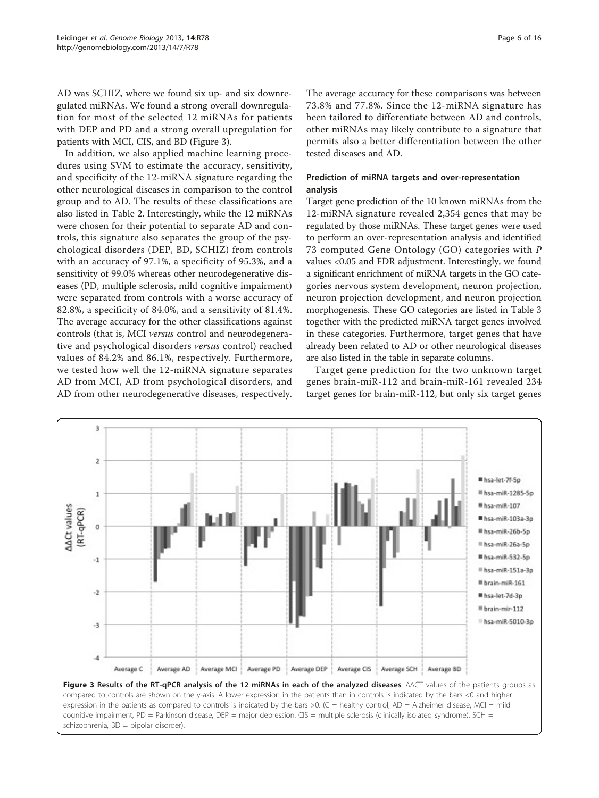AD was SCHIZ, where we found six up- and six downregulated miRNAs. We found a strong overall downregulation for most of the selected 12 miRNAs for patients with DEP and PD and a strong overall upregulation for patients with MCI, CIS, and BD (Figure 3).

In addition, we also applied machine learning procedures using SVM to estimate the accuracy, sensitivity, and specificity of the 12-miRNA signature regarding the other neurological diseases in comparison to the control group and to AD. The results of these classifications are also listed in Table [2.](#page-4-0) Interestingly, while the 12 miRNAs were chosen for their potential to separate AD and controls, this signature also separates the group of the psychological disorders (DEP, BD, SCHIZ) from controls with an accuracy of 97.1%, a specificity of 95.3%, and a sensitivity of 99.0% whereas other neurodegenerative diseases (PD, multiple sclerosis, mild cognitive impairment) were separated from controls with a worse accuracy of 82.8%, a specificity of 84.0%, and a sensitivity of 81.4%. The average accuracy for the other classifications against controls (that is, MCI versus control and neurodegenerative and psychological disorders versus control) reached values of 84.2% and 86.1%, respectively. Furthermore, we tested how well the 12-miRNA signature separates AD from MCI, AD from psychological disorders, and AD from other neurodegenerative diseases, respectively.

The average accuracy for these comparisons was between 73.8% and 77.8%. Since the 12-miRNA signature has been tailored to differentiate between AD and controls, other miRNAs may likely contribute to a signature that permits also a better differentiation between the other tested diseases and AD.

# Prediction of miRNA targets and over-representation analysis

Target gene prediction of the 10 known miRNAs from the 12-miRNA signature revealed 2,354 genes that may be regulated by those miRNAs. These target genes were used to perform an over-representation analysis and identified 73 computed Gene Ontology (GO) categories with P values <0.05 and FDR adjustment. Interestingly, we found a significant enrichment of miRNA targets in the GO categories nervous system development, neuron projection, neuron projection development, and neuron projection morphogenesis. These GO categories are listed in Table [3](#page-6-0) together with the predicted miRNA target genes involved in these categories. Furthermore, target genes that have already been related to AD or other neurological diseases are also listed in the table in separate columns.

Target gene prediction for the two unknown target genes brain-miR-112 and brain-miR-161 revealed 234 target genes for brain-miR-112, but only six target genes



cognitive impairment, PD = Parkinson disease, DEP = major depression, CIS = multiple sclerosis (clinically isolated syndrome), SCH = schizophrenia, BD = bipolar disorder).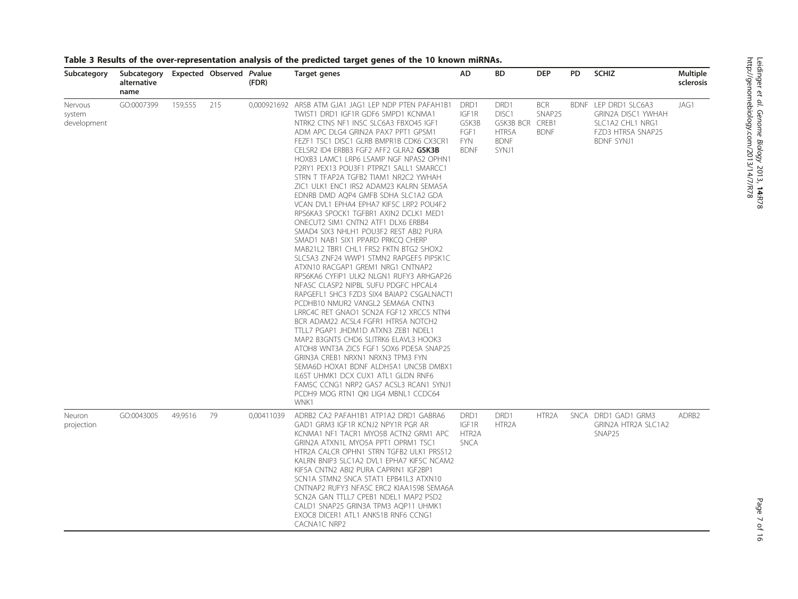| Subcategory                      | Subcategory<br>alternative<br>name |         | Expected Observed Pvalue | (FDR)       | Target genes                                                                                                                                                                                                                                                                                                                                                                                                                                                                                                                                                                                                                                                                                                                                                                                                                                                                                                                                                                                                                                                                                                                                                                                                                                                                                                                                                                                                  | <b>AD</b>                                                   | <b>BD</b>                                                               | <b>DEP</b>                                   | <b>PD</b> | <b>SCHIZ</b>                                                                                             | Multiple<br>sclerosis |
|----------------------------------|------------------------------------|---------|--------------------------|-------------|---------------------------------------------------------------------------------------------------------------------------------------------------------------------------------------------------------------------------------------------------------------------------------------------------------------------------------------------------------------------------------------------------------------------------------------------------------------------------------------------------------------------------------------------------------------------------------------------------------------------------------------------------------------------------------------------------------------------------------------------------------------------------------------------------------------------------------------------------------------------------------------------------------------------------------------------------------------------------------------------------------------------------------------------------------------------------------------------------------------------------------------------------------------------------------------------------------------------------------------------------------------------------------------------------------------------------------------------------------------------------------------------------------------|-------------------------------------------------------------|-------------------------------------------------------------------------|----------------------------------------------|-----------|----------------------------------------------------------------------------------------------------------|-----------------------|
| Nervous<br>system<br>development | GO:0007399                         | 159,555 | 215                      | 0,000921692 | ARSB ATM GJA1 JAG1 LEP NDP PTEN PAFAH1B1<br>TWIST1 DRD1 IGF1R GDF6 SMPD1 KCNMA1<br>NTRK2 CTNS NF1 INSC SLC6A3 FBXO45 IGF1<br>ADM APC DLG4 GRIN2A PAX7 PPT1 GPSM1<br>FEZF1 TSC1 DISC1 GLRB BMPR1B CDK6 CX3CR1<br>CELSR2 ID4 ERBB3 FGF2 AFF2 GLRA2 GSK3B<br>HOXB3 LAMC1 LRP6 LSAMP NGF NPAS2 OPHN1<br>P2RY1 PEX13 POU3F1 PTPRZ1 SALL1 SMARCC1<br>STRN T TFAP2A TGFB2 TIAM1 NR2C2 YWHAH<br>ZIC1 ULK1 ENC1 IRS2 ADAM23 KALRN SEMA5A<br>EDNRB DMD AQP4 GMFB SDHA SLC1A2 GDA<br>VCAN DVL1 EPHA4 EPHA7 KIF5C LRP2 POU4F2<br>RPS6KA3 SPOCK1 TGFBR1 AXIN2 DCLK1 MED1<br>ONECUT2 SIM1 CNTN2 ATF1 DLX6 ERBB4<br>SMAD4 SIX3 NHLH1 POU3F2 REST ABI2 PURA<br>SMAD1 NAB1 SIX1 PPARD PRKCQ CHERP<br>MAB21L2 TBR1 CHL1 FRS2 FKTN BTG2 SHOX2<br>SLC5A3 ZNF24 WWP1 STMN2 RAPGEF5 PIP5K1C<br>ATXN10 RACGAP1 GREM1 NRG1 CNTNAP2<br>RPS6KA6 CYFIP1 ULK2 NLGN1 RUFY3 ARHGAP26<br>NFASC CLASP2 NIPBL SUFU PDGFC HPCAL4<br>RAPGEFL1 SHC3 FZD3 SIX4 BAIAP2 CSGALNACT1<br>PCDHB10 NMUR2 VANGL2 SEMA6A CNTN3<br>LRRC4C RET GNAO1 SCN2A FGF12 XRCC5 NTN4<br>BCR ADAM22 ACSL4 FGFR1 HTR5A NOTCH2<br>TTLL7 PGAP1 JHDM1D ATXN3 ZEB1 NDEL1<br>MAP2 B3GNT5 CHD6 SLITRK6 ELAVL3 HOOK3<br>ATOH8 WNT3A ZIC5 FGF1 SOX6 PDE5A SNAP25<br>GRIN3A CREB1 NRXN1 NRXN3 TPM3 FYN<br>SEMA6D HOXA1 BDNF ALDH5A1 UNC5B DMBX1<br>IL6ST UHMK1 DCX CUX1 ATL1 GLDN RNF6<br>FAM5C CCNG1 NRP2 GAS7 ACSL3 RCAN1 SYNJ1<br>PCDH9 MOG RTN1 QKI LIG4 MBNL1 CCDC64<br>WNK1 | DRD1<br>IGF1R<br>GSK3B<br>FGF1<br><b>FYN</b><br><b>BDNF</b> | DRD1<br>DISC <sub>1</sub><br>GSK3B BCR<br>HTR5A<br><b>BDNF</b><br>SYNJ1 | <b>BCR</b><br>SNAP25<br>CREB1<br><b>BDNF</b> |           | BDNF LEP DRD1 SLC6A3<br>GRIN2A DISC1 YWHAH<br>SLC1A2 CHL1 NRG1<br>FZD3 HTR5A SNAP25<br><b>BDNF SYNJ1</b> | JAG1                  |
| Neuron<br>projection             | GO:0043005                         | 49,9516 | 79                       | 0,00411039  | ADRB2 CA2 PAFAH1B1 ATP1A2 DRD1 GABRA6<br>GAD1 GRM3 IGF1R KCNJ2 NPY1R PGR AR<br>KCNMA1 NF1 TACR1 MYO5B ACTN2 GRM1 APC<br>GRIN2A ATXN1L MYO5A PPT1 OPRM1 TSC1<br>HTR2A CALCR OPHN1 STRN TGFB2 ULK1 PRSS12<br>KALRN BNIP3 SLC1A2 DVL1 EPHA7 KIF5C NCAM2<br>KIF5A CNTN2 ABI2 PURA CAPRIN1 IGF2BP1<br>SCN1A STMN2 SNCA STAT1 EPB41L3 ATXN10<br>CNTNAP2 RUFY3 NFASC ERC2 KIAA1598 SEMA6A<br>SCN2A GAN TTLL7 CPEB1 NDEL1 MAP2 PSD2<br>CALD1 SNAP25 GRIN3A TPM3 AQP11 UHMK1<br>EXOC8 DICER1 ATL1 ANKS1B RNF6 CCNG1<br>CACNA1C NRP2                                                                                                                                                                                                                                                                                                                                                                                                                                                                                                                                                                                                                                                                                                                                                                                                                                                                                    | DRD1<br>IGF1R<br>HTR <sub>2</sub> A<br><b>SNCA</b>          | DRD1<br>HTR <sub>2</sub> A                                              | HTR <sub>2</sub> A                           |           | SNCA DRD1 GAD1 GRM3<br>GRIN2A HTR2A SLC1A2<br>SNAP25                                                     | ADRB <sub>2</sub>     |

# <span id="page-6-0"></span>Table 3 Results of the over-representation analysis of the predicted target genes of the 10 known miRNAs.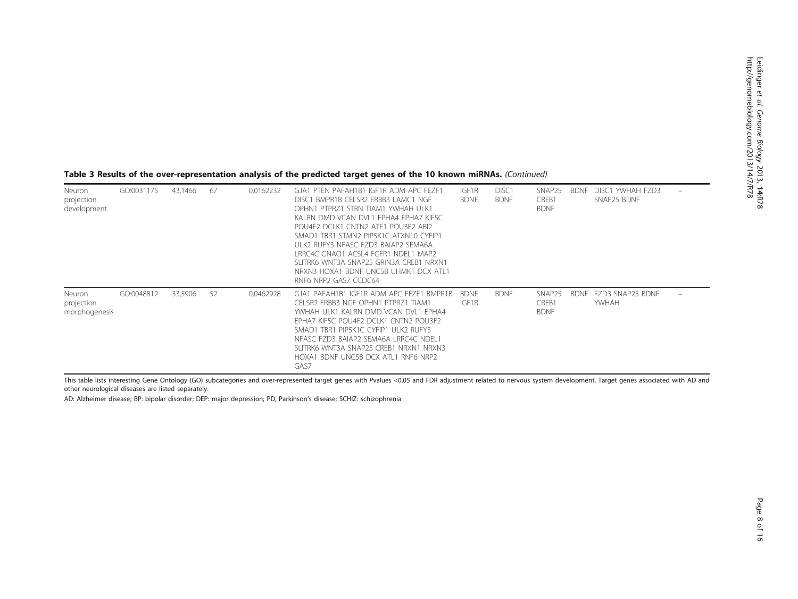#### Table 3 Results of the over-representation analysis of the predicted target genes of the 10 known miRNAs. (Continued)

| Neuron<br>projection<br>development   | GO:0031175 | 43,1466 | 67 | 0,0162232 | GJA1 PTEN PAFAH1B1 IGF1R ADM APC FEZF1<br>DISC1 BMPR1B CELSR2 ERBB3 LAMC1 NGE<br>OPHN1 PTPRZ1 STRN TIAM1 YWHAH ULK1<br>KALRN DMD VCAN DVL1 EPHA4 EPHA7 KIF5C<br>POU4F2 DCLK1 CNTN2 ATF1 POU3F2 ABI2<br>SMAD1 TBR1 STMN2 PIP5K1C ATXN10 CYFIP1<br>ULK2 RUFY3 NEASC FZD3 BAIAP2 SEMA6A<br>I RRC4C GNAO1 ACSI 4 FGER1 NDEL1 MAP2<br>SLITRK6 WNT3A SNAP25 GRIN3A CREB1 NRXN1<br>NRXN3 HOXA1 BDNF UNC5B UHMK1 DCX ATL1<br>RNF6 NRP2 GAS7 CCDC64 | IGF1R<br><b>BDNF</b> | DISC <sub>1</sub><br><b>BDNF</b> | SNAP25<br>CREB1<br><b>BDNF</b> | <b>BDNF</b> | DISC1 YWHAH FZD3<br>SNAP25 BDNF |        |
|---------------------------------------|------------|---------|----|-----------|--------------------------------------------------------------------------------------------------------------------------------------------------------------------------------------------------------------------------------------------------------------------------------------------------------------------------------------------------------------------------------------------------------------------------------------------|----------------------|----------------------------------|--------------------------------|-------------|---------------------------------|--------|
| Neuron<br>projection<br>morphogenesis | GO:0048812 | 33,5906 | 52 | 0,0462928 | GJA1 PAFAH1B1 IGF1R ADM APC FEZF1 BMPR1B<br>CELSR2 ERBB3 NGE OPHN1 PTPRZ1 TIAM1<br>YWHAH ULK1 KALRN DMD VCAN DVL1 EPHA4<br>EPHA7 KIF5C POU4F2 DCLK1 CNTN2 POU3F2<br>SMAD1 TBR1 PIP5K1C CYFIP1 ULK2 RUFY3<br>NEASC EZD3 BAIAP2 SEMA6A LRRC4C NDEL1<br>SLITRK6 WNT3A SNAP25 CREB1 NRXN1 NRXN3<br>HOXA1 BDNF UNC5B DCX ATL1 RNF6 NRP2<br>GAS7                                                                                                 | <b>BDNF</b><br>IGF1R | <b>BDNF</b>                      | SNAP25<br>CREB1<br><b>BDNF</b> | <b>BDNF</b> | FZD3 SNAP25 BDNF<br>YWHAH       | $\sim$ |

This table lists interesting Gene Ontology (GO) subcategories and over-represented target genes with Pvalues <0.05 and FDR adjustment related to nervous system development. Target genes associated with AD and other neurological diseases are listed separately.

AD: Alzheimer disease; BP: bipolar disorder; DEP: major depression; PD, Parkinson's disease; SCHIZ: schizophrenia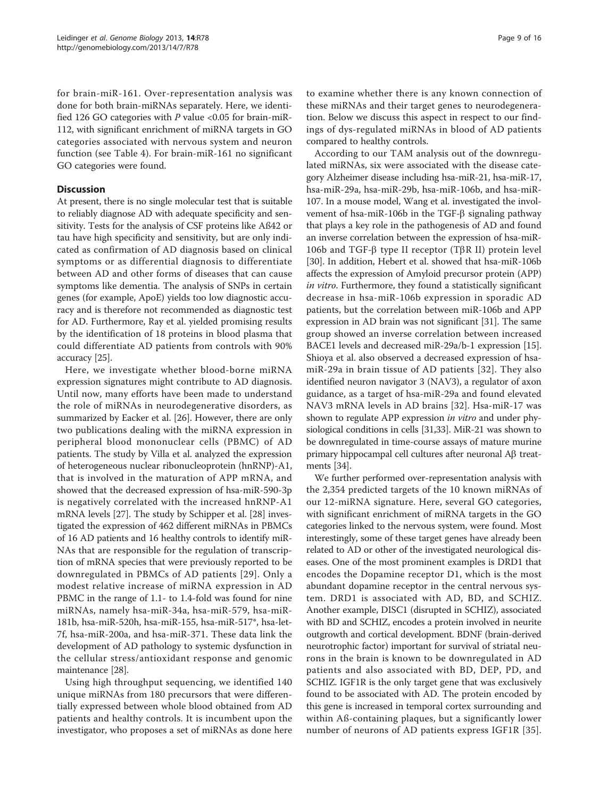for brain-miR-161. Over-representation analysis was done for both brain-miRNAs separately. Here, we identified 126 GO categories with  $P$  value <0.05 for brain-miR-112, with significant enrichment of miRNA targets in GO categories associated with nervous system and neuron function (see Table [4\)](#page-9-0). For brain-miR-161 no significant GO categories were found.

## **Discussion**

At present, there is no single molecular test that is suitable to reliably diagnose AD with adequate specificity and sensitivity. Tests for the analysis of CSF proteins like Aß42 or tau have high specificity and sensitivity, but are only indicated as confirmation of AD diagnosis based on clinical symptoms or as differential diagnosis to differentiate between AD and other forms of diseases that can cause symptoms like dementia. The analysis of SNPs in certain genes (for example, ApoE) yields too low diagnostic accuracy and is therefore not recommended as diagnostic test for AD. Furthermore, Ray et al. yielded promising results by the identification of 18 proteins in blood plasma that could differentiate AD patients from controls with 90% accuracy [\[25](#page-14-0)].

Here, we investigate whether blood-borne miRNA expression signatures might contribute to AD diagnosis. Until now, many efforts have been made to understand the role of miRNAs in neurodegenerative disorders, as summarized by Eacker et al. [[26\]](#page-14-0). However, there are only two publications dealing with the miRNA expression in peripheral blood mononuclear cells (PBMC) of AD patients. The study by Villa et al. analyzed the expression of heterogeneous nuclear ribonucleoprotein (hnRNP)-A1, that is involved in the maturation of APP mRNA, and showed that the decreased expression of hsa-miR-590-3p is negatively correlated with the increased hnRNP-A1 mRNA levels [\[27](#page-14-0)]. The study by Schipper et al. [\[28\]](#page-14-0) investigated the expression of 462 different miRNAs in PBMCs of 16 AD patients and 16 healthy controls to identify miR-NAs that are responsible for the regulation of transcription of mRNA species that were previously reported to be downregulated in PBMCs of AD patients [[29\]](#page-14-0). Only a modest relative increase of miRNA expression in AD PBMC in the range of 1.1- to 1.4-fold was found for nine miRNAs, namely hsa-miR-34a, hsa-miR-579, hsa-miR-181b, hsa-miR-520h, hsa-miR-155, hsa-miR-517\*, hsa-let-7f, hsa-miR-200a, and hsa-miR-371. These data link the development of AD pathology to systemic dysfunction in the cellular stress/antioxidant response and genomic maintenance [\[28\]](#page-14-0).

Using high throughput sequencing, we identified 140 unique miRNAs from 180 precursors that were differentially expressed between whole blood obtained from AD patients and healthy controls. It is incumbent upon the investigator, who proposes a set of miRNAs as done here

to examine whether there is any known connection of these miRNAs and their target genes to neurodegeneration. Below we discuss this aspect in respect to our findings of dys-regulated miRNAs in blood of AD patients compared to healthy controls.

According to our TAM analysis out of the downregulated miRNAs, six were associated with the disease category Alzheimer disease including hsa-miR-21, hsa-miR-17, hsa-miR-29a, hsa-miR-29b, hsa-miR-106b, and hsa-miR-107. In a mouse model, Wang et al. investigated the involvement of hsa-miR-106b in the TGF- $\beta$  signaling pathway that plays a key role in the pathogenesis of AD and found an inverse correlation between the expression of hsa-miR-106b and TGF- $\beta$  type II receptor (T $\beta$ R II) protein level [[30\]](#page-14-0). In addition, Hebert et al. showed that hsa-miR-106b affects the expression of Amyloid precursor protein (APP) in vitro. Furthermore, they found a statistically significant decrease in hsa-miR-106b expression in sporadic AD patients, but the correlation between miR-106b and APP expression in AD brain was not significant [[31](#page-14-0)]. The same group showed an inverse correlation between increased BACE1 levels and decreased miR-29a/b-1 expression [[15](#page-14-0)]. Shioya et al. also observed a decreased expression of hsamiR-29a in brain tissue of AD patients [[32](#page-14-0)]. They also identified neuron navigator 3 (NAV3), a regulator of axon guidance, as a target of hsa-miR-29a and found elevated NAV3 mRNA levels in AD brains [[32\]](#page-14-0). Hsa-miR-17 was shown to regulate APP expression in vitro and under physiological conditions in cells [\[31,33](#page-14-0)]. MiR-21 was shown to be downregulated in time-course assays of mature murine primary hippocampal cell cultures after neuronal  $\mathcal{A}\beta$  treatments [[34](#page-14-0)].

We further performed over-representation analysis with the 2,354 predicted targets of the 10 known miRNAs of our 12-miRNA signature. Here, several GO categories, with significant enrichment of miRNA targets in the GO categories linked to the nervous system, were found. Most interestingly, some of these target genes have already been related to AD or other of the investigated neurological diseases. One of the most prominent examples is DRD1 that encodes the Dopamine receptor D1, which is the most abundant dopamine receptor in the central nervous system. DRD1 is associated with AD, BD, and SCHIZ. Another example, DISC1 (disrupted in SCHIZ), associated with BD and SCHIZ, encodes a protein involved in neurite outgrowth and cortical development. BDNF (brain-derived neurotrophic factor) important for survival of striatal neurons in the brain is known to be downregulated in AD patients and also associated with BD, DEP, PD, and SCHIZ. IGF1R is the only target gene that was exclusively found to be associated with AD. The protein encoded by this gene is increased in temporal cortex surrounding and within Aß-containing plaques, but a significantly lower number of neurons of AD patients express IGF1R [[35](#page-14-0)].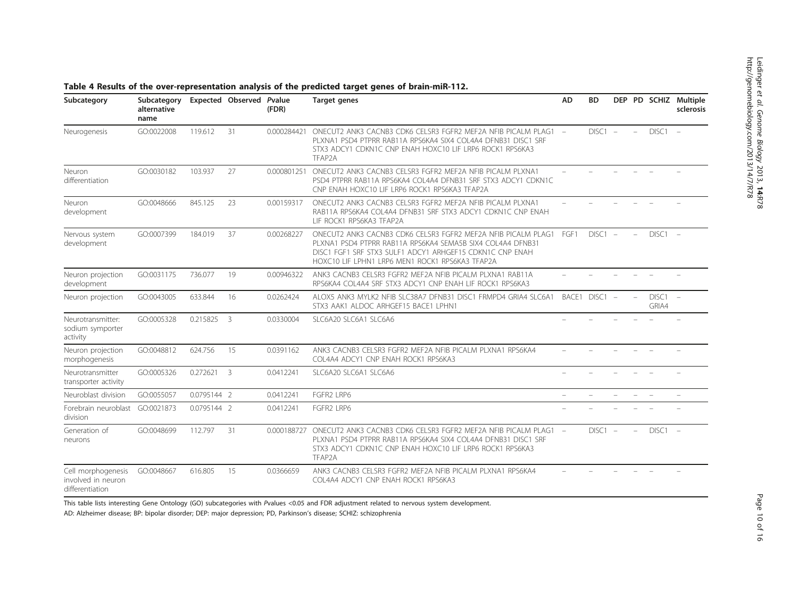| Subcategory                                                 | Subcategory<br>alternative<br>name |             | Expected Observed Pvalue | (FDR)       | <b>Target genes</b>                                                                                                                                                                                                                        | AD                       | <b>BD</b>                |    |                          |                          | DEP PD SCHIZ Multiple<br>sclerosis |
|-------------------------------------------------------------|------------------------------------|-------------|--------------------------|-------------|--------------------------------------------------------------------------------------------------------------------------------------------------------------------------------------------------------------------------------------------|--------------------------|--------------------------|----|--------------------------|--------------------------|------------------------------------|
| Neurogenesis                                                | GO:0022008                         | 119.612     | 31                       | 0.000284421 | ONECUT2 ANK3 CACNB3 CDK6 CELSR3 EGER2 MEE2A NEIB PICALM PLAG1 -<br>PLXNA1 PSD4 PTPRR RAB11A RPS6KA4 SIX4 COL4A4 DENB31 DISC1 SRE<br>STX3 ADCY1 CDKN1C CNP ENAH HOXC10 LIF LRP6 ROCK1 RPS6KA3<br>TFAP2A                                     |                          | DISC1                    |    | $\overline{\phantom{a}}$ | DISC1                    | $\sim$                             |
| Neuron<br>differentiation                                   | GO:0030182                         | 103.937     | 27                       | 0.000801251 | ONECUT2 ANK3 CACNB3 CELSR3 FGFR2 MEF2A NFIB PICALM PLXNA1<br>PSD4 PTPRR RAB11A RPS6KA4 COL4A4 DFNB31 SRF STX3 ADCY1 CDKN1C<br>CNP ENAH HOXC10 LIF LRP6 ROCK1 RPS6KA3 TFAP2A                                                                |                          |                          |    |                          |                          |                                    |
| Neuron<br>development                                       | GO:0048666                         | 845.125     | 23                       | 0.00159317  | ONECUT2 ANK3 CACNB3 CELSR3 FGFR2 MEF2A NFIB PICALM PLXNA1<br>RAB11A RPS6KA4 COL4A4 DFNB31 SRF STX3 ADCY1 CDKN1C CNP ENAH<br>LIF ROCK1 RPS6KA3 TFAP2A                                                                                       |                          |                          |    |                          |                          |                                    |
| Nervous system<br>development                               | GO:0007399                         | 184.019     | 37                       | 0.00268227  | ONECUT2 ANK3 CACNB3 CDK6 CELSR3 FGFR2 MEF2A NFIB PICALM PLAG1<br>PLXNA1 PSD4 PTPRR RAB11A RPS6KA4 SEMA5B SIX4 COL4A4 DFNB31<br>DISC1 FGF1 SRF STX3 SULF1 ADCY1 ARHGEF15 CDKN1C CNP ENAH<br>HOXC10 LIF LPHN1 LRP6 MEN1 ROCK1 RPS6KA3 TFAP2A | FGF1                     | $DISC1 -$                |    | $\equiv$                 | $DISC1 -$                |                                    |
| Neuron projection<br>development                            | GO:0031175                         | 736.077     | 19                       | 0.00946322  | ANK3 CACNB3 CELSR3 EGER2 MEE2A NEIB PICALM PLXNA1 RAB11A<br>RPS6KA4 COL4A4 SRF STX3 ADCY1 CNP ENAH LIF ROCK1 RPS6KA3                                                                                                                       |                          |                          |    |                          |                          |                                    |
| Neuron projection                                           | GO:0043005                         | 633.844     | 16                       | 0.0262424   | ALOX5 ANK3 MYLK2 NFIB SLC38A7 DFNB31 DISC1 FRMPD4 GRIA4 SLC6A1<br>STX3 AAK1 ALDOC ARHGEF15 BACE1 LPHN1                                                                                                                                     |                          | BACE1 DISC1 -            |    | $\frac{1}{2}$            | $DISC1 -$<br>GRIA4       |                                    |
| Neurotransmitter:<br>sodium symporter<br>activity           | GO:0005328                         | 0.215825    | 3                        | 0.0330004   | SLC6A20 SLC6A1 SLC6A6                                                                                                                                                                                                                      |                          |                          |    |                          |                          |                                    |
| Neuron projection<br>morphogenesis                          | GO:0048812                         | 624.756     | 15                       | 0.0391162   | ANK3 CACNB3 CELSR3 FGFR2 MEF2A NFIB PICALM PLXNA1 RPS6KA4<br>COL4A4 ADCY1 CNP ENAH ROCK1 RPS6KA3                                                                                                                                           |                          |                          |    |                          |                          |                                    |
| Neurotransmitter<br>transporter activity                    | GO:0005326                         | 0.272621    | 3                        | 0.0412241   | SLC6A20 SLC6A1 SLC6A6                                                                                                                                                                                                                      | $\equiv$                 |                          |    |                          |                          |                                    |
| Neuroblast division                                         | GO:0055057                         | 0.0795144 2 |                          | 0.0412241   | FGFR2 LRP6                                                                                                                                                                                                                                 | $\overline{\phantom{0}}$ | $\overline{\phantom{a}}$ | L. | $\equiv$                 | $\overline{\phantom{a}}$ | $\equiv$                           |
| Forebrain neuroblast<br>division                            | GO:0021873                         | 0.0795144 2 |                          | 0.0412241   | FGFR2 LRP6                                                                                                                                                                                                                                 |                          |                          |    |                          |                          |                                    |
| Generation of<br>neurons                                    | GO:0048699                         | 112.797     | 31                       | 0.000188727 | ONECUT2 ANK3 CACNB3 CDK6 CELSR3 FGFR2 MEF2A NFIB PICALM PLAG1 -<br>PLXNA1 PSD4 PTPRR RAB11A RPS6KA4 SIX4 COL4A4 DFNB31 DISC1 SRF<br>STX3 ADCY1 CDKN1C CNP ENAH HOXC10 LIF LRP6 ROCK1 RPS6KA3<br>TFAP2A                                     |                          | $DISC1 -$                |    |                          | $DISC1 -$                |                                    |
| Cell morphogenesis<br>involved in neuron<br>differentiation | GO:0048667                         | 616.805     | 15                       | 0.0366659   | ANK3 CACNB3 CELSR3 FGFR2 MEF2A NFIB PICALM PLXNA1 RPS6KA4<br>COL4A4 ADCY1 CNP ENAH ROCK1 RPS6KA3                                                                                                                                           |                          |                          |    |                          |                          |                                    |

# <span id="page-9-0"></span>Table 4 Results of the over-representation analysis of the predicted target genes of brain-miR-112.

This table lists interesting Gene Ontology (GO) subcategories with Pvalues <0.05 and FDR adjustment related to nervous system development.

AD: Alzheimer disease; BP: bipolar disorder; DEP: major depression; PD, Parkinson's disease; SCHIZ: schizophrenia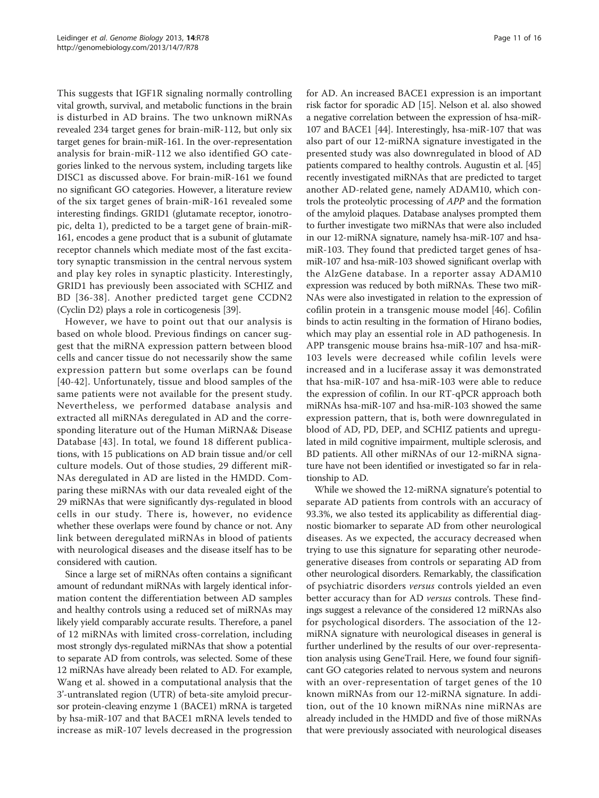This suggests that IGF1R signaling normally controlling vital growth, survival, and metabolic functions in the brain is disturbed in AD brains. The two unknown miRNAs revealed 234 target genes for brain-miR-112, but only six target genes for brain-miR-161. In the over-representation analysis for brain-miR-112 we also identified GO categories linked to the nervous system, including targets like DISC1 as discussed above. For brain-miR-161 we found no significant GO categories. However, a literature review of the six target genes of brain-miR-161 revealed some interesting findings. GRID1 (glutamate receptor, ionotropic, delta 1), predicted to be a target gene of brain-miR-161, encodes a gene product that is a subunit of glutamate receptor channels which mediate most of the fast excitatory synaptic transmission in the central nervous system and play key roles in synaptic plasticity. Interestingly, GRID1 has previously been associated with SCHIZ and BD [\[36-38](#page-15-0)]. Another predicted target gene CCDN2 (Cyclin D2) plays a role in corticogenesis [[39](#page-15-0)].

However, we have to point out that our analysis is based on whole blood. Previous findings on cancer suggest that the miRNA expression pattern between blood cells and cancer tissue do not necessarily show the same expression pattern but some overlaps can be found [[40](#page-15-0)-[42](#page-15-0)]. Unfortunately, tissue and blood samples of the same patients were not available for the present study. Nevertheless, we performed database analysis and extracted all miRNAs deregulated in AD and the corresponding literature out of the Human MiRNA& Disease Database [[43](#page-15-0)]. In total, we found 18 different publications, with 15 publications on AD brain tissue and/or cell culture models. Out of those studies, 29 different miR-NAs deregulated in AD are listed in the HMDD. Comparing these miRNAs with our data revealed eight of the 29 miRNAs that were significantly dys-regulated in blood cells in our study. There is, however, no evidence whether these overlaps were found by chance or not. Any link between deregulated miRNAs in blood of patients with neurological diseases and the disease itself has to be considered with caution.

Since a large set of miRNAs often contains a significant amount of redundant miRNAs with largely identical information content the differentiation between AD samples and healthy controls using a reduced set of miRNAs may likely yield comparably accurate results. Therefore, a panel of 12 miRNAs with limited cross-correlation, including most strongly dys-regulated miRNAs that show a potential to separate AD from controls, was selected. Some of these 12 miRNAs have already been related to AD. For example, Wang et al. showed in a computational analysis that the 3'-untranslated region (UTR) of beta-site amyloid precursor protein-cleaving enzyme 1 (BACE1) mRNA is targeted by hsa-miR-107 and that BACE1 mRNA levels tended to increase as miR-107 levels decreased in the progression for AD. An increased BACE1 expression is an important risk factor for sporadic AD [\[15\]](#page-14-0). Nelson et al. also showed a negative correlation between the expression of hsa-miR-107 and BACE1 [[44\]](#page-15-0). Interestingly, hsa-miR-107 that was also part of our 12-miRNA signature investigated in the presented study was also downregulated in blood of AD patients compared to healthy controls. Augustin et al. [[45](#page-15-0)] recently investigated miRNAs that are predicted to target another AD-related gene, namely ADAM10, which controls the proteolytic processing of APP and the formation of the amyloid plaques. Database analyses prompted them to further investigate two miRNAs that were also included in our 12-miRNA signature, namely hsa-miR-107 and hsamiR-103. They found that predicted target genes of hsamiR-107 and hsa-miR-103 showed significant overlap with the AlzGene database. In a reporter assay ADAM10 expression was reduced by both miRNAs. These two miR-NAs were also investigated in relation to the expression of cofilin protein in a transgenic mouse model [\[46](#page-15-0)]. Cofilin binds to actin resulting in the formation of Hirano bodies, which may play an essential role in AD pathogenesis. In APP transgenic mouse brains hsa-miR-107 and hsa-miR-103 levels were decreased while cofilin levels were increased and in a luciferase assay it was demonstrated that hsa-miR-107 and hsa-miR-103 were able to reduce the expression of cofilin. In our RT-qPCR approach both miRNAs hsa-miR-107 and hsa-miR-103 showed the same expression pattern, that is, both were downregulated in blood of AD, PD, DEP, and SCHIZ patients and upregulated in mild cognitive impairment, multiple sclerosis, and BD patients. All other miRNAs of our 12-miRNA signature have not been identified or investigated so far in relationship to AD.

While we showed the 12-miRNA signature's potential to separate AD patients from controls with an accuracy of 93.3%, we also tested its applicability as differential diagnostic biomarker to separate AD from other neurological diseases. As we expected, the accuracy decreased when trying to use this signature for separating other neurodegenerative diseases from controls or separating AD from other neurological disorders. Remarkably, the classification of psychiatric disorders versus controls yielded an even better accuracy than for AD versus controls. These findings suggest a relevance of the considered 12 miRNAs also for psychological disorders. The association of the 12 miRNA signature with neurological diseases in general is further underlined by the results of our over-representation analysis using GeneTrail. Here, we found four significant GO categories related to nervous system and neurons with an over-representation of target genes of the 10 known miRNAs from our 12-miRNA signature. In addition, out of the 10 known miRNAs nine miRNAs are already included in the HMDD and five of those miRNAs that were previously associated with neurological diseases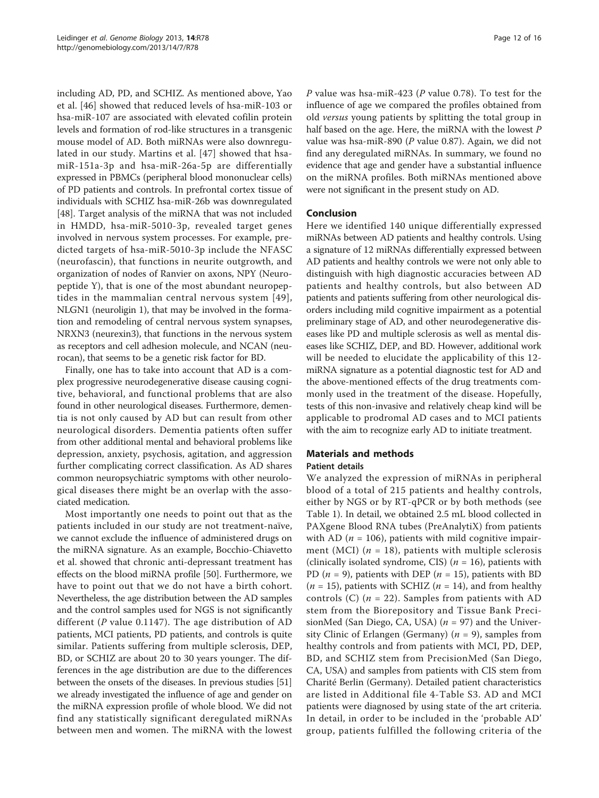including AD, PD, and SCHIZ. As mentioned above, Yao et al. [[46\]](#page-15-0) showed that reduced levels of hsa-miR-103 or hsa-miR-107 are associated with elevated cofilin protein levels and formation of rod-like structures in a transgenic mouse model of AD. Both miRNAs were also downregulated in our study. Martins et al. [[47\]](#page-15-0) showed that hsamiR-151a-3p and hsa-miR-26a-5p are differentially expressed in PBMCs (peripheral blood mononuclear cells) of PD patients and controls. In prefrontal cortex tissue of individuals with SCHIZ hsa-miR-26b was downregulated [[48\]](#page-15-0). Target analysis of the miRNA that was not included in HMDD, hsa-miR-5010-3p, revealed target genes involved in nervous system processes. For example, predicted targets of hsa-miR-5010-3p include the NFASC (neurofascin), that functions in neurite outgrowth, and organization of nodes of Ranvier on axons, NPY (Neuropeptide Y), that is one of the most abundant neuropeptides in the mammalian central nervous system [[49\]](#page-15-0), NLGN1 (neuroligin 1), that may be involved in the formation and remodeling of central nervous system synapses, NRXN3 (neurexin3), that functions in the nervous system as receptors and cell adhesion molecule, and NCAN (neurocan), that seems to be a genetic risk factor for BD.

Finally, one has to take into account that AD is a complex progressive neurodegenerative disease causing cognitive, behavioral, and functional problems that are also found in other neurological diseases. Furthermore, dementia is not only caused by AD but can result from other neurological disorders. Dementia patients often suffer from other additional mental and behavioral problems like depression, anxiety, psychosis, agitation, and aggression further complicating correct classification. As AD shares common neuropsychiatric symptoms with other neurological diseases there might be an overlap with the associated medication.

Most importantly one needs to point out that as the patients included in our study are not treatment-naïve, we cannot exclude the influence of administered drugs on the miRNA signature. As an example, Bocchio-Chiavetto et al. showed that chronic anti-depressant treatment has effects on the blood miRNA profile [\[50\]](#page-15-0). Furthermore, we have to point out that we do not have a birth cohort. Nevertheless, the age distribution between the AD samples and the control samples used for NGS is not significantly different ( $P$  value 0.1147). The age distribution of AD patients, MCI patients, PD patients, and controls is quite similar. Patients suffering from multiple sclerosis, DEP, BD, or SCHIZ are about 20 to 30 years younger. The differences in the age distribution are due to the differences between the onsets of the diseases. In previous studies [[51](#page-15-0)] we already investigated the influence of age and gender on the miRNA expression profile of whole blood. We did not find any statistically significant deregulated miRNAs between men and women. The miRNA with the lowest P value was hsa-miR-423 (P value 0.78). To test for the influence of age we compared the profiles obtained from old versus young patients by splitting the total group in half based on the age. Here, the miRNA with the lowest P value was hsa-miR-890 (P value 0.87). Again, we did not find any deregulated miRNAs. In summary, we found no evidence that age and gender have a substantial influence on the miRNA profiles. Both miRNAs mentioned above were not significant in the present study on AD.

# Conclusion

Here we identified 140 unique differentially expressed miRNAs between AD patients and healthy controls. Using a signature of 12 miRNAs differentially expressed between AD patients and healthy controls we were not only able to distinguish with high diagnostic accuracies between AD patients and healthy controls, but also between AD patients and patients suffering from other neurological disorders including mild cognitive impairment as a potential preliminary stage of AD, and other neurodegenerative diseases like PD and multiple sclerosis as well as mental diseases like SCHIZ, DEP, and BD. However, additional work will be needed to elucidate the applicability of this 12 miRNA signature as a potential diagnostic test for AD and the above-mentioned effects of the drug treatments commonly used in the treatment of the disease. Hopefully, tests of this non-invasive and relatively cheap kind will be applicable to prodromal AD cases and to MCI patients with the aim to recognize early AD to initiate treatment.

# Materials and methods

## Patient details

We analyzed the expression of miRNAs in peripheral blood of a total of 215 patients and healthy controls, either by NGS or by RT-qPCR or by both methods (see Table [1](#page-3-0)). In detail, we obtained 2.5 mL blood collected in PAXgene Blood RNA tubes (PreAnalytiX) from patients with AD ( $n = 106$ ), patients with mild cognitive impairment (MCI) ( $n = 18$ ), patients with multiple sclerosis (clinically isolated syndrome, CIS) ( $n = 16$ ), patients with PD ( $n = 9$ ), patients with DEP ( $n = 15$ ), patients with BD  $(n = 15)$ , patients with SCHIZ  $(n = 14)$ , and from healthy controls (C)  $(n = 22)$ . Samples from patients with AD stem from the Biorepository and Tissue Bank PrecisionMed (San Diego, CA, USA) ( $n = 97$ ) and the University Clinic of Erlangen (Germany) ( $n = 9$ ), samples from healthy controls and from patients with MCI, PD, DEP, BD, and SCHIZ stem from PrecisionMed (San Diego, CA, USA) and samples from patients with CIS stem from Charité Berlin (Germany). Detailed patient characteristics are listed in Additional file [4](#page-13-0)-Table S3. AD and MCI patients were diagnosed by using state of the art criteria. In detail, in order to be included in the 'probable AD' group, patients fulfilled the following criteria of the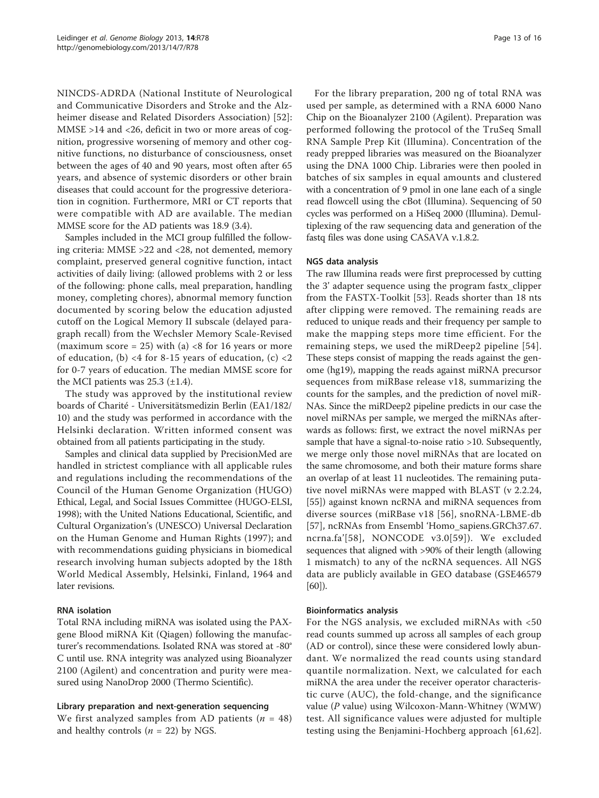NINCDS-ADRDA (National Institute of Neurological and Communicative Disorders and Stroke and the Alzheimer disease and Related Disorders Association) [[52](#page-15-0)]: MMSE >14 and <26, deficit in two or more areas of cognition, progressive worsening of memory and other cognitive functions, no disturbance of consciousness, onset between the ages of 40 and 90 years, most often after 65 years, and absence of systemic disorders or other brain diseases that could account for the progressive deterioration in cognition. Furthermore, MRI or CT reports that were compatible with AD are available. The median MMSE score for the AD patients was 18.9 (3.4).

Samples included in the MCI group fulfilled the following criteria: MMSE >22 and <28, not demented, memory complaint, preserved general cognitive function, intact activities of daily living: (allowed problems with 2 or less of the following: phone calls, meal preparation, handling money, completing chores), abnormal memory function documented by scoring below the education adjusted cutoff on the Logical Memory II subscale (delayed paragraph recall) from the Wechsler Memory Scale-Revised (maximum score = 25) with (a)  $<8$  for 16 years or more of education, (b) <4 for 8-15 years of education, (c) <2 for 0-7 years of education. The median MMSE score for the MCI patients was  $25.3$  ( $\pm$ 1.4).

The study was approved by the institutional review boards of Charité - Universitätsmedizin Berlin (EA1/182/ 10) and the study was performed in accordance with the Helsinki declaration. Written informed consent was obtained from all patients participating in the study.

Samples and clinical data supplied by PrecisionMed are handled in strictest compliance with all applicable rules and regulations including the recommendations of the Council of the Human Genome Organization (HUGO) Ethical, Legal, and Social Issues Committee (HUGO-ELSI, 1998); with the United Nations Educational, Scientific, and Cultural Organization's (UNESCO) Universal Declaration on the Human Genome and Human Rights (1997); and with recommendations guiding physicians in biomedical research involving human subjects adopted by the 18th World Medical Assembly, Helsinki, Finland, 1964 and later revisions.

## RNA isolation

Total RNA including miRNA was isolated using the PAXgene Blood miRNA Kit (Qiagen) following the manufacturer's recommendations. Isolated RNA was stored at -80° C until use. RNA integrity was analyzed using Bioanalyzer 2100 (Agilent) and concentration and purity were measured using NanoDrop 2000 (Thermo Scientific).

## Library preparation and next-generation sequencing

We first analyzed samples from AD patients ( $n = 48$ ) and healthy controls ( $n = 22$ ) by NGS.

For the library preparation, 200 ng of total RNA was used per sample, as determined with a RNA 6000 Nano Chip on the Bioanalyzer 2100 (Agilent). Preparation was performed following the protocol of the TruSeq Small RNA Sample Prep Kit (Illumina). Concentration of the ready prepped libraries was measured on the Bioanalyzer using the DNA 1000 Chip. Libraries were then pooled in batches of six samples in equal amounts and clustered with a concentration of 9 pmol in one lane each of a single read flowcell using the cBot (Illumina). Sequencing of 50 cycles was performed on a HiSeq 2000 (Illumina). Demultiplexing of the raw sequencing data and generation of the fastq files was done using CASAVA v.1.8.2.

#### NGS data analysis

The raw Illumina reads were first preprocessed by cutting the 3' adapter sequence using the program fastx\_clipper from the FASTX-Toolkit [\[53](#page-15-0)]. Reads shorter than 18 nts after clipping were removed. The remaining reads are reduced to unique reads and their frequency per sample to make the mapping steps more time efficient. For the remaining steps, we used the miRDeep2 pipeline [[54](#page-15-0)]. These steps consist of mapping the reads against the genome (hg19), mapping the reads against miRNA precursor sequences from miRBase release v18, summarizing the counts for the samples, and the prediction of novel miR-NAs. Since the miRDeep2 pipeline predicts in our case the novel miRNAs per sample, we merged the miRNAs afterwards as follows: first, we extract the novel miRNAs per sample that have a signal-to-noise ratio >10. Subsequently, we merge only those novel miRNAs that are located on the same chromosome, and both their mature forms share an overlap of at least 11 nucleotides. The remaining putative novel miRNAs were mapped with BLAST (v 2.2.24, [[55\]](#page-15-0)) against known ncRNA and miRNA sequences from diverse sources (miRBase v18 [[56](#page-15-0)], snoRNA-LBME-db [[57\]](#page-15-0), ncRNAs from Ensembl 'Homo\_sapiens.GRCh37.67. ncrna.fa'[[58\]](#page-15-0), NONCODE v3.0[\[59](#page-15-0)]). We excluded sequences that aligned with >90% of their length (allowing 1 mismatch) to any of the ncRNA sequences. All NGS data are publicly available in GEO database (GSE46579 [[60](#page-15-0)]).

#### Bioinformatics analysis

For the NGS analysis, we excluded miRNAs with <50 read counts summed up across all samples of each group (AD or control), since these were considered lowly abundant. We normalized the read counts using standard quantile normalization. Next, we calculated for each miRNA the area under the receiver operator characteristic curve (AUC), the fold-change, and the significance value (P value) using Wilcoxon-Mann-Whitney (WMW) test. All significance values were adjusted for multiple testing using the Benjamini-Hochberg approach [[61,62](#page-15-0)].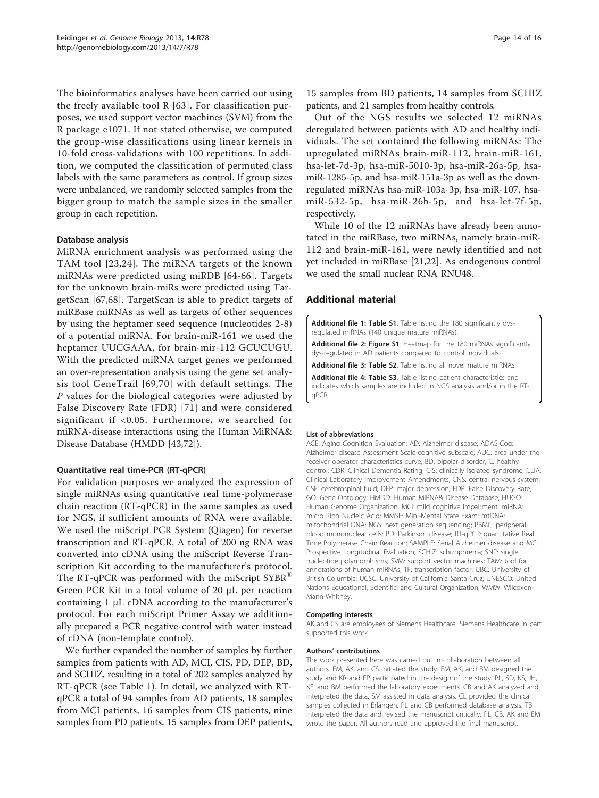<span id="page-13-0"></span>The bioinformatics analyses have been carried out using the freely available tool  $R$  [[63](#page-15-0)]. For classification purposes, we used support vector machines (SVM) from the R package e1071. If not stated otherwise, we computed the group-wise classifications using linear kernels in 10-fold cross-validations with 100 repetitions. In addition, we computed the classification of permuted class labels with the same parameters as control. If group sizes were unbalanced, we randomly selected samples from the bigger group to match the sample sizes in the smaller group in each repetition.

#### Database analysis

MiRNA enrichment analysis was performed using the TAM tool [[23,24\]](#page-14-0). The miRNA targets of the known miRNAs were predicted using miRDB [[64](#page-15-0)-[66\]](#page-15-0). Targets for the unknown brain-miRs were predicted using TargetScan [\[67](#page-15-0),[68\]](#page-15-0). TargetScan is able to predict targets of miRBase miRNAs as well as targets of other sequences by using the heptamer seed sequence (nucleotides 2-8) of a potential miRNA. For brain-miR-161 we used the heptamer UUCGAAA, for brain-mir-112 GCUCUGU. With the predicted miRNA target genes we performed an over-representation analysis using the gene set analysis tool GeneTrail [[69](#page-15-0),[70](#page-15-0)] with default settings. The P values for the biological categories were adjusted by False Discovery Rate (FDR) [[71\]](#page-15-0) and were considered significant if <0.05. Furthermore, we searched for miRNA-disease interactions using the Human MiRNA& Disease Database (HMDD [\[43,72](#page-15-0)]).

#### Quantitative real time-PCR (RT-qPCR)

For validation purposes we analyzed the expression of single miRNAs using quantitative real time-polymerase chain reaction (RT-qPCR) in the same samples as used for NGS, if sufficient amounts of RNA were available. We used the miScript PCR System (Qiagen) for reverse transcription and RT-qPCR. A total of 200 ng RNA was converted into cDNA using the miScript Reverse Transcription Kit according to the manufacturer's protocol. The RT-qPCR was performed with the miScript SYBR<sup>®</sup> Green PCR Kit in a total volume of 20 μL per reaction containing 1 μL cDNA according to the manufacturer's protocol. For each miScript Primer Assay we additionally prepared a PCR negative-control with water instead of cDNA (non-template control).

We further expanded the number of samples by further samples from patients with AD, MCI, CIS, PD, DEP, BD, and SCHIZ, resulting in a total of 202 samples analyzed by RT-qPCR (see Table [1\)](#page-3-0). In detail, we analyzed with RTqPCR a total of 94 samples from AD patients, 18 samples from MCI patients, 16 samples from CIS patients, nine samples from PD patients, 15 samples from DEP patients, 15 samples from BD patients, 14 samples from SCHIZ patients, and 21 samples from healthy controls.

Out of the NGS results we selected 12 miRNAs deregulated between patients with AD and healthy individuals. The set contained the following miRNAs: The upregulated miRNAs brain-miR-112, brain-miR-161, hsa-let-7d-3p, hsa-miR-5010-3p, hsa-miR-26a-5p, hsamiR-1285-5p, and hsa-miR-151a-3p as well as the downregulated miRNAs hsa-miR-103a-3p, hsa-miR-107, hsamiR-532-5p, hsa-miR-26b-5p, and hsa-let-7f-5p, respectively.

While 10 of the 12 miRNAs have already been annotated in the miRBase, two miRNAs, namely brain-miR-112 and brain-miR-161, were newly identified and not yet included in miRBase [[21,22\]](#page-14-0). As endogenous control we used the small nuclear RNA RNU48.

#### Additional material

[Additional file 1: T](http://www.biomedcentral.com/content/supplementary/gb-2013-14-7-r78-S1.XLSX)able S1. Table listing the 180 significantly dysregulated miRNAs (140 unique mature miRNAs).

[Additional file 2: F](http://www.biomedcentral.com/content/supplementary/gb-2013-14-7-r78-S2.PDF)igure S1. Heatmap for the 180 miRNAs significantly dys-regulated in AD patients compared to control individuals.

[Additional file 3: T](http://www.biomedcentral.com/content/supplementary/gb-2013-14-7-r78-S3.XLSX)able S2. Table listing all novel mature miRNAs.

[Additional file 4: T](http://www.biomedcentral.com/content/supplementary/gb-2013-14-7-r78-S4.XLSX)able S3. Table listing patient characteristics and indicates which samples are included in NGS analysis and/or in the RTqPCR.

#### List of abbreviations

ACE: Aging Cognition Evaluation; AD: Alzheimer disease; ADAS-Cog: Alzheimer disease Assessment Scale-cognitive subscale; AUC: area under the receiver operator characteristics curve; BD: bipolar disorder; C: healthy control; CDR: Clinical Dementia Rating; CIS: clinically isolated syndrome; CLIA: Clinical Laboratory Improvement Amendments; CNS: central nervous system; CSF: cerebrospinal fluid; DEP: major depression; FDR: False Discovery Rate; GO: Gene Ontology; HMDD: Human MiRNA& Disease Database; HUGO: Human Genome Organization; MCI: mild cognitive impairment; miRNA: micro Ribo Nucleic Acid; MMSE: Mini-Mental State Exam; mtDNA: mitochondrial DNA; NGS: next generation sequencing; PBMC: peripheral blood mononuclear cells; PD: Parkinson disease; RT-qPCR: quantitative Real Time Polymerase Chain Reaction; SAMPLE: Serial Alzheimer disease and MCI Prospective Longitudinal Evaluation; SCHIZ: schizophrenia; SNP: single nucleotide polymorphisms; SVM: support vector machines; TAM: tool for annotations of human miRNAs; TF: transcription factor; UBC: University of British Columbia; UCSC: University of California Santa Cruz; UNESCO: United Nations Educational, Scientific, and Cultural Organization; WMW: Wilcoxon-Mann-Whitney.

#### Competing interests

AK and CS are employees of Siemens Healthcare. Siemens Healthcare in part supported this work.

#### Authors' contributions

The work presented here was carried out in collaboration between all authors. EM, AK, and CS initiated the study. EM, AK, and BM designed the study and KR and FP participated in the design of the study. PL, SD, KS, JH, KF, and BM performed the laboratory experiments. CB and AK analyzed and interpreted the data. SM assisted in data analysis. CL provided the clinical samples collected in Erlangen. PL and CB performed database analysis. TB interpreted the data and revised the manuscript critically. PL, CB, AK and EM wrote the paper. All authors read and approved the final manuscript.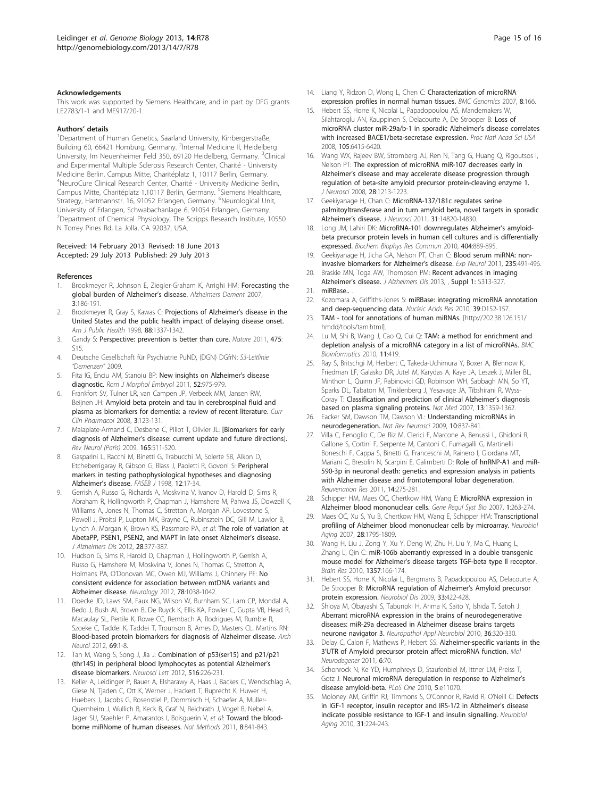#### <span id="page-14-0"></span>Acknowledgements

This work was supported by Siemens Healthcare, and in part by DFG grants LE2783/1-1 and ME917/20-1.

#### Authors' details <sup>1</sup>

<sup>1</sup>Department of Human Genetics, Saarland University, Kirrbergerstraße, Building 60, 66421 Homburg, Germany. <sup>2</sup>Internal Medicine II, Heidelberg University, Im Neuenheimer Feld 350, 69120 Heidelberg, Germany. <sup>3</sup>Clinical and Experimental Multiple Sclerosis Research Center, Charité - University Medicine Berlin, Campus Mitte, Charitéplatz 1, 10117 Berlin, Germany. 4 NeuroCure Clinical Research Center, Charité - University Medicine Berlin, Campus Mitte, Charitéplatz 1,10117 Berlin, Germany. <sup>5</sup>Siemens Healthcare, Strategy, Hartmannstr. 16, 91052 Erlangen, Germany. <sup>6</sup>Neurological Unit, University of Erlangen, Schwabachanlage 6, 91054 Erlangen, Germany. <sup>7</sup>Department of Chemical Physiology, The Scripps Research Institute, 10550 N Torrey Pines Rd, La Jolla, CA 92037, USA.

#### Received: 14 February 2013 Revised: 18 June 2013 Accepted: 29 July 2013 Published: 29 July 2013

#### References

- Brookmeyer R, Johnson E, Ziegler-Graham K, Arrighi HM: Forecasting the global burden of Alzheimer's disease. Alzheimers Dement 2007, 3:186-191.
- Brookmeyer R, Gray S, Kawas C: Projections of Alzheimer's disease in the United States and the public health impact of delaying disease onset. Am J Public Health 1998, 88:1337-1342.
- 3. Gandy S: Perspective: prevention is better than cure. Nature 2011, 475: S15.
- 4. Deutsche Gesellschaft für Psychiatrie PuND, (DGN) DGfrN: S3-Leitlinie "Demenzen" 2009.
- 5. Fita IG, Enciu AM, Stanoiu BP: New insights on Alzheimer's disease diagnostic. Rom J Morphol Embryol 2011, 52:975-979.
- 6. Frankfort SV, Tulner LR, van Campen JP, Verbeek MM, Jansen RW, Beijnen JH: Amyloid beta protein and tau in cerebrospinal fluid and plasma as biomarkers for dementia: a review of recent literature. Curr Clin Pharmacol 2008, 3:123-131.
- 7. Malaplate-Armand C, Desbene C, Pillot T, Olivier JL: [Biomarkers for early diagnosis of Alzheimer's disease: current update and future directions]. Rev Neurol (Paris) 2009, 165:511-520.
- 8. Gasparini L, Racchi M, Binetti G, Trabucchi M, Solerte SB, Alkon D, Etcheberrigaray R, Gibson G, Blass J, Paoletti R, Govoni S: Peripheral markers in testing pathophysiological hypotheses and diagnosing Alzheimer's disease. FASEB J 1998, 12:17-34.
- 9. Gerrish A, Russo G, Richards A, Moskvina V, Ivanov D, Harold D, Sims R, Abraham R, Hollingworth P, Chapman J, Hamshere M, Pahwa JS, Dowzell K, Williams A, Jones N, Thomas C, Stretton A, Morgan AR, Lovestone S, Powell J, Proitsi P, Lupton MK, Brayne C, Rubinsztein DC, Gill M, Lawlor B, Lynch A, Morgan K, Brown KS, Passmore PA, et al: The role of variation at AbetaPP, PSEN1, PSEN2, and MAPT in late onset Alzheimer's disease. J Alzheimers Dis 2012, 28:377-387.
- 10. Hudson G, Sims R, Harold D, Chapman J, Hollingworth P, Gerrish A, Russo G, Hamshere M, Moskvina V, Jones N, Thomas C, Stretton A, Holmans PA, O'Donovan MC, Owen MJ, Williams J, Chinnery PF: No consistent evidence for association between mtDNA variants and Alzheimer disease. Neurology 2012, 78:1038-1042.
- 11. Doecke JD, Laws SM, Faux NG, Wilson W, Burnham SC, Lam CP, Mondal A, Bedo J, Bush AI, Brown B, De Ruyck K, Ellis KA, Fowler C, Gupta VB, Head R, Macaulay SL, Pertile K, Rowe CC, Rembach A, Rodrigues M, Rumble R, Szoeke C, Taddei K, Taddei T, Trounson B, Ames D, Masters CL, Martins RN: Blood-based protein biomarkers for diagnosis of Alzheimer disease. Arch Neurol 2012, 69:1-8.
- 12. Tan M, Wang S, Song J, Jia J: Combination of p53(ser15) and p21/p21 (thr145) in peripheral blood lymphocytes as potential Alzheimer's disease biomarkers. Neurosci Lett 2012, 516:226-231.
- 13. Keller A, Leidinger P, Bauer A, Elsharawy A, Haas J, Backes C, Wendschlag A, Giese N, Tjaden C, Ott K, Werner J, Hackert T, Ruprecht K, Huwer H, Huebers J, Jacobs G, Rosenstiel P, Dommisch H, Schaefer A, Muller-Quernheim J, Wullich B, Keck B, Graf N, Reichrath J, Vogel B, Nebel A, Jager SU, Staehler P, Amarantos I, Boisguerin V, et al: Toward the bloodborne miRNome of human diseases. Nat Methods 2011, 8:841-843.
- 14. Liang Y, Ridzon D, Wong L, Chen C: Characterization of microRNA expression profiles in normal human tissues. BMC Genomics 2007, 8:166.
- 15. Hebert SS, Horre K, Nicolai L, Papadopoulou AS, Mandemakers W, Silahtaroglu AN, Kauppinen S, Delacourte A, De Strooper B: Loss of microRNA cluster miR-29a/b-1 in sporadic Alzheimer's disease correlates with increased BACE1/beta-secretase expression. Proc Natl Acad Sci USA 2008, 105:6415-6420.
- 16. Wang WX, Rajeev BW, Stromberg AJ, Ren N, Tang G, Huang Q, Rigoutsos I, Nelson PT: The expression of microRNA miR-107 decreases early in Alzheimer's disease and may accelerate disease progression through regulation of beta-site amyloid precursor protein-cleaving enzyme 1. J Neurosci 2008, 28:1213-1223.
- 17. Geekiyanage H, Chan C: MicroRNA-137/181c regulates serine palmitoyltransferase and in turn amyloid beta, novel targets in sporadic Alzheimer's disease. J Neurosci 2011, 31:14820-14830.
- 18. Long JM, Lahiri DK: MicroRNA-101 downregulates Alzheimer's amyloidbeta precursor protein levels in human cell cultures and is differentially expressed. Biochem Biophys Res Commun 2010, 404:889-895.
- 19. Geekiyanage H, Jicha GA, Nelson PT, Chan C: Blood serum miRNA: noninvasive biomarkers for Alzheimer's disease. Exp Neurol 2011, 235:491-496.
- 20. Braskie MN, Toga AW, Thompson PM: Recent advances in imaging Alzheimer's disease. J Alzheimers Dis 2013, , Suppl 1: S313-327.
- 21. miRBase...
- 22. Kozomara A, Griffiths-Jones S: miRBase: integrating microRNA annotation and deep-sequencing data. Nucleic Acids Res 2010, 39:D152-157.
- 23. TAM tool for annotations of human miRNAs. [\[http://202.38.126.151/](http://202.38.126.151/hmdd/tools/tam.html) [hmdd/tools/tam.html\]](http://202.38.126.151/hmdd/tools/tam.html).
- 24. Lu M, Shi B, Wang J, Cao Q, Cui Q: TAM: a method for enrichment and depletion analysis of a microRNA category in a list of microRNAs. BMC Bioinformatics 2010, 11:419.
- 25. Ray S, Britschgi M, Herbert C, Takeda-Uchimura Y, Boxer A, Blennow K, Friedman LF, Galasko DR, Jutel M, Karydas A, Kaye JA, Leszek J, Miller BL, Minthon L, Quinn JF, Rabinovici GD, Robinson WH, Sabbagh MN, So YT, Sparks DL, Tabaton M, Tinklenberg J, Yesavage JA, Tibshirani R, Wyss-Coray T: Classification and prediction of clinical Alzheimer's diagnosis based on plasma signaling proteins. Nat Med 2007, 13:1359-1362.
- 26. Eacker SM, Dawson TM, Dawson VL: Understanding microRNAs in neurodegeneration. Nat Rev Neurosci 2009, 10:837-841.
- 27. Villa C, Fenoglio C, De Riz M, Clerici F, Marcone A, Benussi L, Ghidoni R, Gallone S, Cortini F, Serpente M, Cantoni C, Fumagalli G, Martinelli Boneschi F, Cappa S, Binetti G, Franceschi M, Rainero I, Giordana MT, Mariani C, Bresolin N, Scarpini E, Galimberti D: Role of hnRNP-A1 and miR-590-3p in neuronal death: genetics and expression analysis in patients with Alzheimer disease and frontotemporal lobar degeneration. Rejuvenation Res 2011, 14:275-281.
- 28. Schipper HM, Maes OC, Chertkow HM, Wang E: MicroRNA expression in Alzheimer blood mononuclear cells. Gene Regul Syst Bio 2007, 1:263-274.
- 29. Maes OC, Xu S, Yu B, Chertkow HM, Wang E, Schipper HM: Transcriptional profiling of Alzheimer blood mononuclear cells by microarray. Neurobiol Aging 2007, 28:1795-1809.
- 30. Wang H, Liu J, Zong Y, Xu Y, Deng W, Zhu H, Liu Y, Ma C, Huang L, Zhang L, Qin C: miR-106b aberrantly expressed in a double transgenic mouse model for Alzheimer's disease targets TGF-beta type II receptor. Brain Res 2010, 1357:166-174.
- 31. Hebert SS, Horre K, Nicolai L, Bergmans B, Papadopoulou AS, Delacourte A, De Strooper B: MicroRNA regulation of Alzheimer's Amyloid precursor protein expression. Neurobiol Dis 2009, 33:422-428.
- 32. Shioya M, Obayashi S, Tabunoki H, Arima K, Saito Y, Ishida T, Satoh J: Aberrant microRNA expression in the brains of neurodegenerative diseases: miR-29a decreased in Alzheimer disease brains targets neurone navigator 3. Neuropathol Appl Neurobiol 2010, 36:320-330.
- 33. Delay C, Calon F, Mathews P, Hebert SS: Alzheimer-specific variants in the 3'UTR of Amyloid precursor protein affect microRNA function. Mol Neurodegener 2011, 6:70.
- 34. Schonrock N, Ke YD, Humphreys D, Staufenbiel M, Ittner LM, Preiss T, Gotz J: Neuronal microRNA deregulation in response to Alzheimer's disease amyloid-beta. PLoS One 2010, 5:e11070.
- 35. Moloney AM, Griffin RJ, Timmons S, O'Connor R, Ravid R, O'Neill C: Defects in IGF-1 receptor, insulin receptor and IRS-1/2 in Alzheimer's disease indicate possible resistance to IGF-1 and insulin signalling. Neurobiol Aging 2010, 31:224-243.